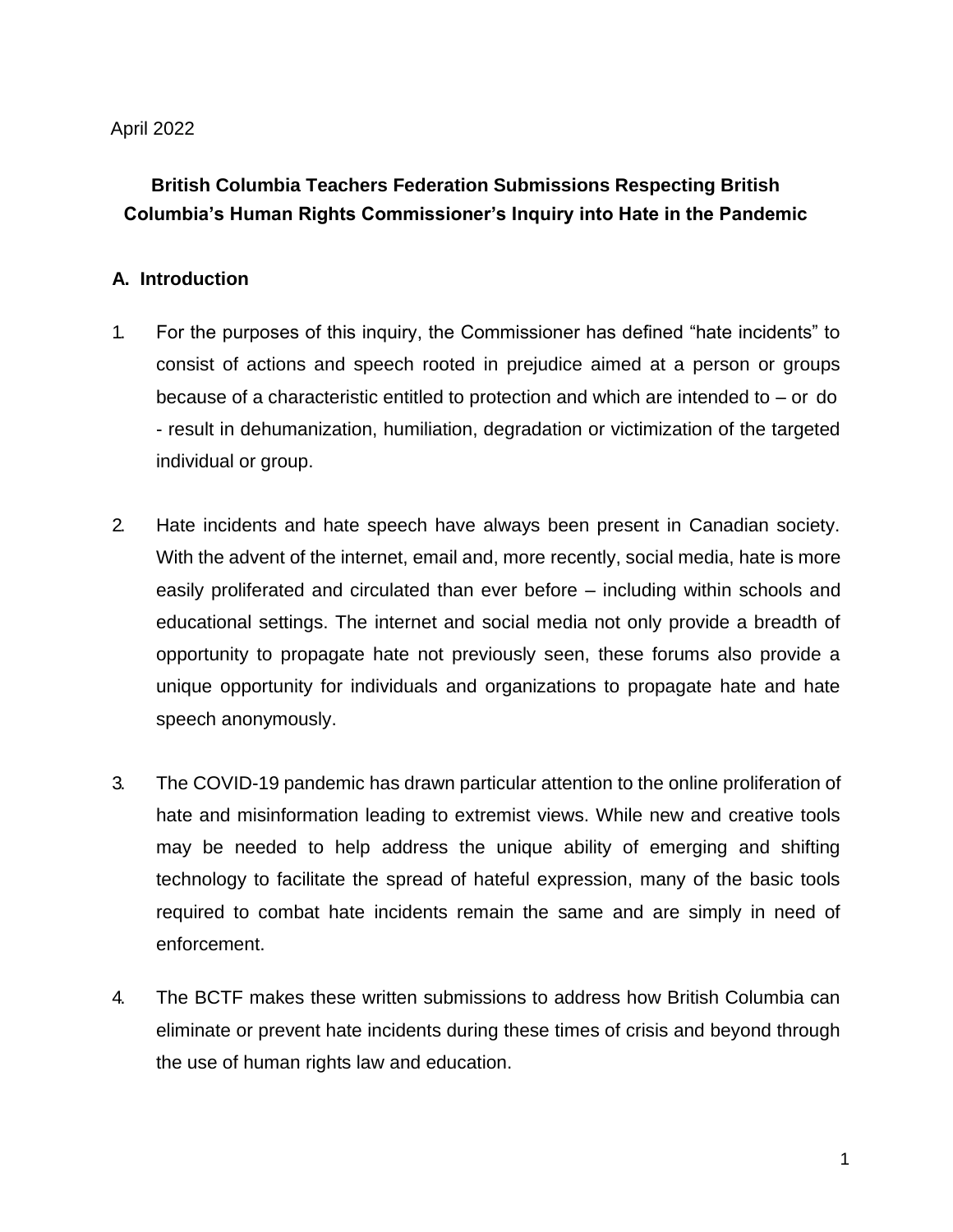## April 2022

# **British Columbia Teachers Federation Submissions Respecting British Columbia's Human Rights Commissioner's Inquiry into Hate in the Pandemic**

## **A. Introduction**

- 1. For the purposes of this inquiry, the Commissioner has defined "hate incidents" to consist of actions and speech rooted in prejudice aimed at a person or groups because of a characteristic entitled to protection and which are intended to – or do - result in dehumanization, humiliation, degradation or victimization of the targeted individual or group.
- 2. Hate incidents and hate speech have always been present in Canadian society. With the advent of the internet, email and, more recently, social media, hate is more easily proliferated and circulated than ever before – including within schools and educational settings. The internet and social media not only provide a breadth of opportunity to propagate hate not previously seen, these forums also provide a unique opportunity for individuals and organizations to propagate hate and hate speech anonymously.
- 3. The COVID-19 pandemic has drawn particular attention to the online proliferation of hate and misinformation leading to extremist views. While new and creative tools may be needed to help address the unique ability of emerging and shifting technology to facilitate the spread of hateful expression, many of the basic tools required to combat hate incidents remain the same and are simply in need of enforcement.
- 4. The BCTF makes these written submissions to address how British Columbia can eliminate or prevent hate incidents during these times of crisis and beyond through the use of human rights law and education.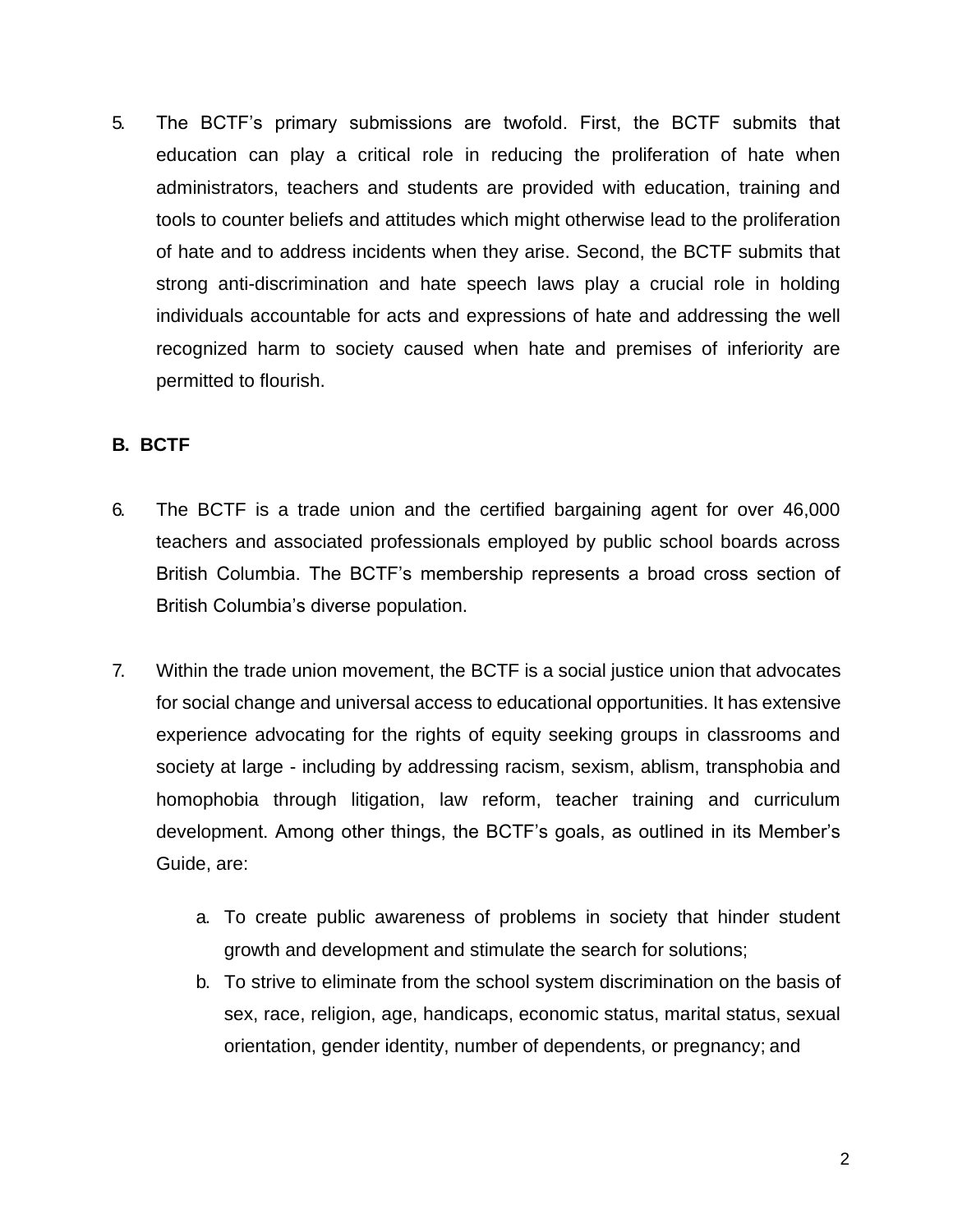5. The BCTF's primary submissions are twofold. First, the BCTF submits that education can play a critical role in reducing the proliferation of hate when administrators, teachers and students are provided with education, training and tools to counter beliefs and attitudes which might otherwise lead to the proliferation of hate and to address incidents when they arise. Second, the BCTF submits that strong anti-discrimination and hate speech laws play a crucial role in holding individuals accountable for acts and expressions of hate and addressing the well recognized harm to society caused when hate and premises of inferiority are permitted to flourish.

# **B. BCTF**

- 6. The BCTF is a trade union and the certified bargaining agent for over 46,000 teachers and associated professionals employed by public school boards across British Columbia. The BCTF's membership represents a broad cross section of British Columbia's diverse population.
- 7. Within the trade union movement, the BCTF is a social justice union that advocates for social change and universal access to educational opportunities. It has extensive experience advocating for the rights of equity seeking groups in classrooms and society at large - including by addressing racism, sexism, ablism, transphobia and homophobia through litigation, law reform, teacher training and curriculum development. Among other things, the BCTF's goals, as outlined in its Member's Guide, are:
	- a. To create public awareness of problems in society that hinder student growth and development and stimulate the search for solutions;
	- b. To strive to eliminate from the school system discrimination on the basis of sex, race, religion, age, handicaps, economic status, marital status, sexual orientation, gender identity, number of dependents, or pregnancy; and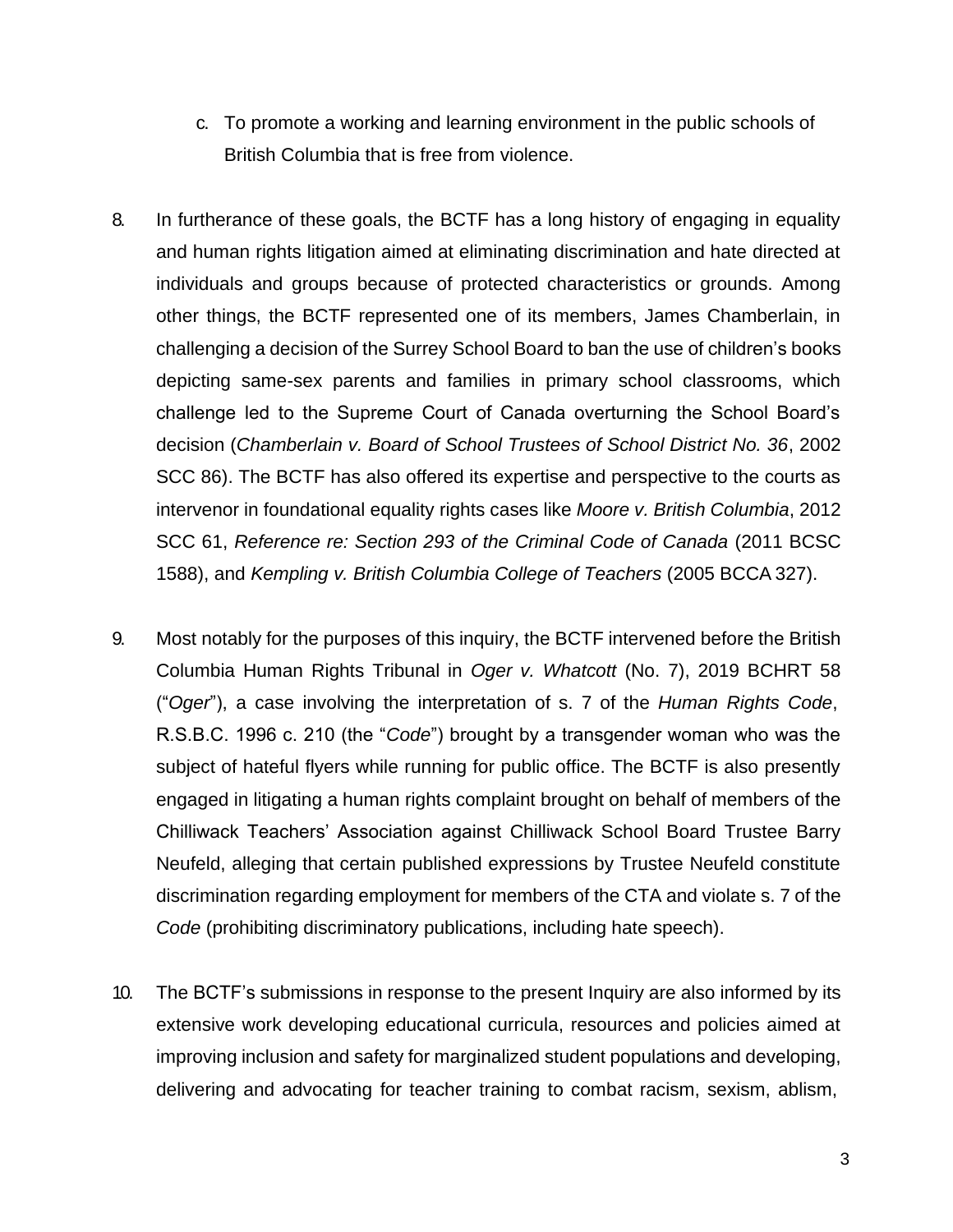- c. To promote a working and learning environment in the public schools of British Columbia that is free from violence.
- 8. In furtherance of these goals, the BCTF has a long history of engaging in equality and human rights litigation aimed at eliminating discrimination and hate directed at individuals and groups because of protected characteristics or grounds. Among other things, the BCTF represented one of its members, James Chamberlain, in challenging a decision of the Surrey School Board to ban the use of children's books depicting same-sex parents and families in primary school classrooms, which challenge led to the Supreme Court of Canada overturning the School Board's decision (*Chamberlain v. Board of School Trustees of School District No. 36*, 2002 SCC 86). The BCTF has also offered its expertise and perspective to the courts as intervenor in foundational equality rights cases like *Moore v. British Columbia*, 2012 SCC 61, *Reference re: Section 293 of the Criminal Code of Canada* (2011 BCSC 1588), and *Kempling v. British Columbia College of Teachers* (2005 BCCA 327).
- 9. Most notably for the purposes of this inquiry, the BCTF intervened before the British Columbia Human Rights Tribunal in *Oger v. Whatcott* (No. 7), 2019 BCHRT 58 ("*Oger*"), a case involving the interpretation of s. 7 of the *Human Rights Code*, R.S.B.C. 1996 c. 210 (the "*Code*") brought by a transgender woman who was the subject of hateful flyers while running for public office. The BCTF is also presently engaged in litigating a human rights complaint brought on behalf of members of the Chilliwack Teachers' Association against Chilliwack School Board Trustee Barry Neufeld, alleging that certain published expressions by Trustee Neufeld constitute discrimination regarding employment for members of the CTA and violate s. 7 of the *Code* (prohibiting discriminatory publications, including hate speech).
- 10. The BCTF's submissions in response to the present Inquiry are also informed by its extensive work developing educational curricula, resources and policies aimed at improving inclusion and safety for marginalized student populations and developing, delivering and advocating for teacher training to combat racism, sexism, ablism,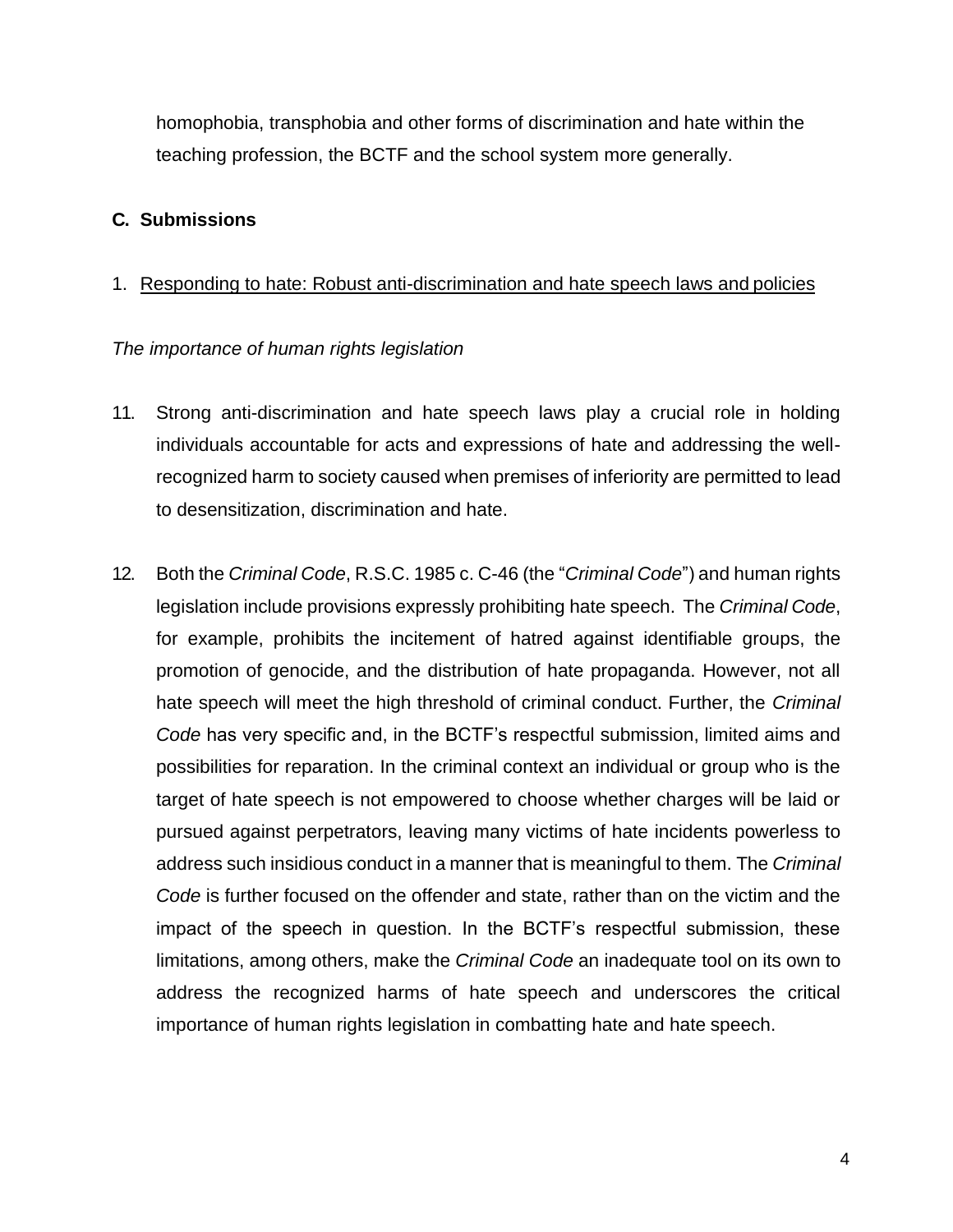homophobia, transphobia and other forms of discrimination and hate within the teaching profession, the BCTF and the school system more generally.

## **C. Submissions**

# 1. Responding to hate: Robust anti-discrimination and hate speech laws and policies

# *The importance of human rights legislation*

- 11. Strong anti-discrimination and hate speech laws play a crucial role in holding individuals accountable for acts and expressions of hate and addressing the wellrecognized harm to society caused when premises of inferiority are permitted to lead to desensitization, discrimination and hate.
- 12. Both the *Criminal Code*, R.S.C. 1985 c. C-46 (the "*Criminal Code*") and human rights legislation include provisions expressly prohibiting hate speech. The *Criminal Code*, for example, prohibits the incitement of hatred against identifiable groups, the promotion of genocide, and the distribution of hate propaganda. However, not all hate speech will meet the high threshold of criminal conduct. Further, the *Criminal Code* has very specific and, in the BCTF's respectful submission, limited aims and possibilities for reparation. In the criminal context an individual or group who is the target of hate speech is not empowered to choose whether charges will be laid or pursued against perpetrators, leaving many victims of hate incidents powerless to address such insidious conduct in a manner that is meaningful to them. The *Criminal Code* is further focused on the offender and state, rather than on the victim and the impact of the speech in question. In the BCTF's respectful submission, these limitations, among others, make the *Criminal Code* an inadequate tool on its own to address the recognized harms of hate speech and underscores the critical importance of human rights legislation in combatting hate and hate speech.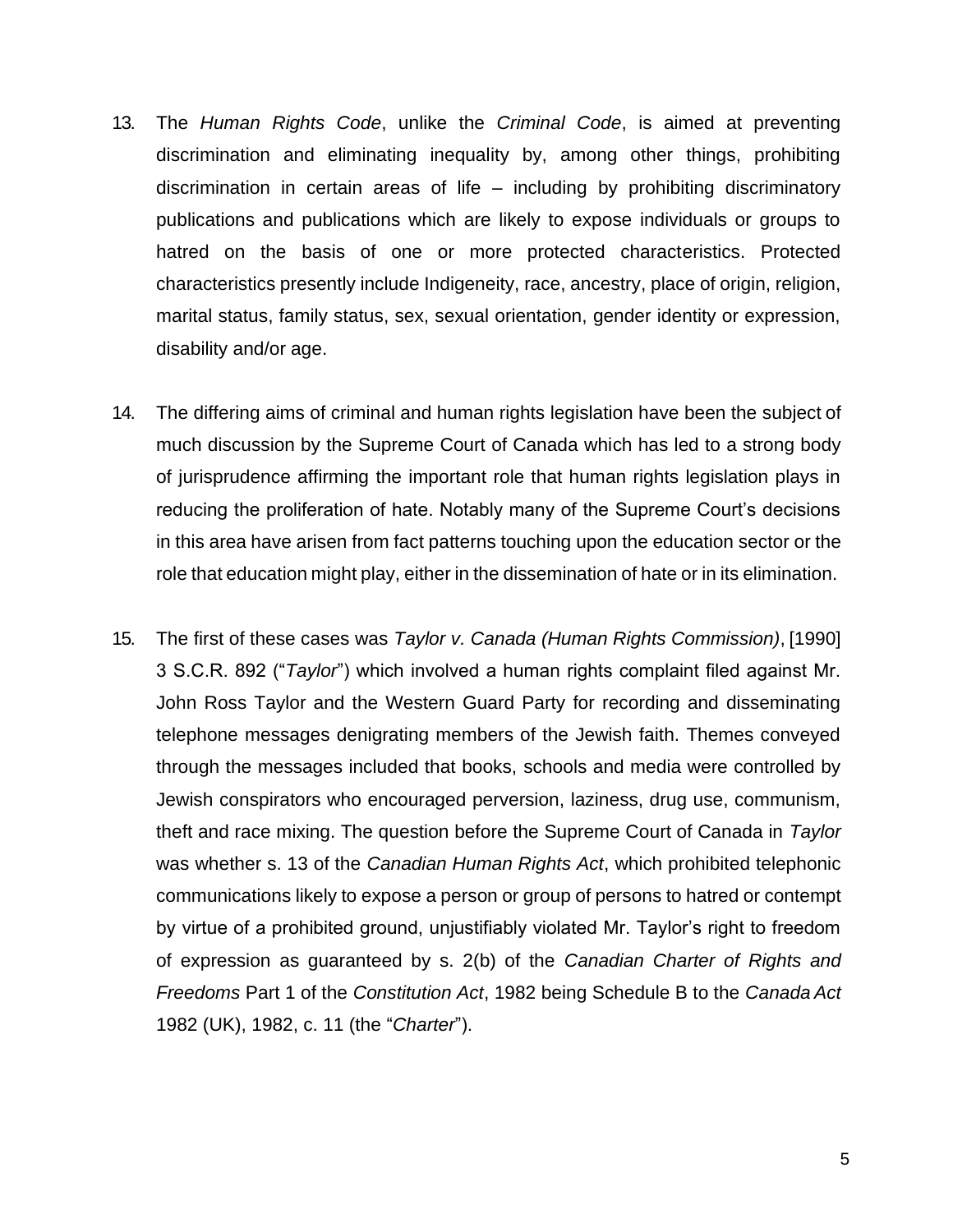- 13. The *Human Rights Code*, unlike the *Criminal Code*, is aimed at preventing discrimination and eliminating inequality by, among other things, prohibiting discrimination in certain areas of life – including by prohibiting discriminatory publications and publications which are likely to expose individuals or groups to hatred on the basis of one or more protected characteristics. Protected characteristics presently include Indigeneity, race, ancestry, place of origin, religion, marital status, family status, sex, sexual orientation, gender identity or expression, disability and/or age.
- 14. The differing aims of criminal and human rights legislation have been the subject of much discussion by the Supreme Court of Canada which has led to a strong body of jurisprudence affirming the important role that human rights legislation plays in reducing the proliferation of hate. Notably many of the Supreme Court's decisions in this area have arisen from fact patterns touching upon the education sector or the role that education might play, either in the dissemination of hate or in its elimination.
- 15. The first of these cases was *Taylor v. Canada (Human Rights Commission)*, [1990] 3 S.C.R. 892 ("*Taylor*") which involved a human rights complaint filed against Mr. John Ross Taylor and the Western Guard Party for recording and disseminating telephone messages denigrating members of the Jewish faith. Themes conveyed through the messages included that books, schools and media were controlled by Jewish conspirators who encouraged perversion, laziness, drug use, communism, theft and race mixing. The question before the Supreme Court of Canada in *Taylor*  was whether s. 13 of the *Canadian Human Rights Act*, which prohibited telephonic communications likely to expose a person or group of persons to hatred or contempt by virtue of a prohibited ground, unjustifiably violated Mr. Taylor's right to freedom of expression as guaranteed by s. 2(b) of the *Canadian Charter of Rights and Freedoms* Part 1 of the *Constitution Act*, 1982 being Schedule B to the *Canada Act*  1982 (UK), 1982, c. 11 (the "*Charter*").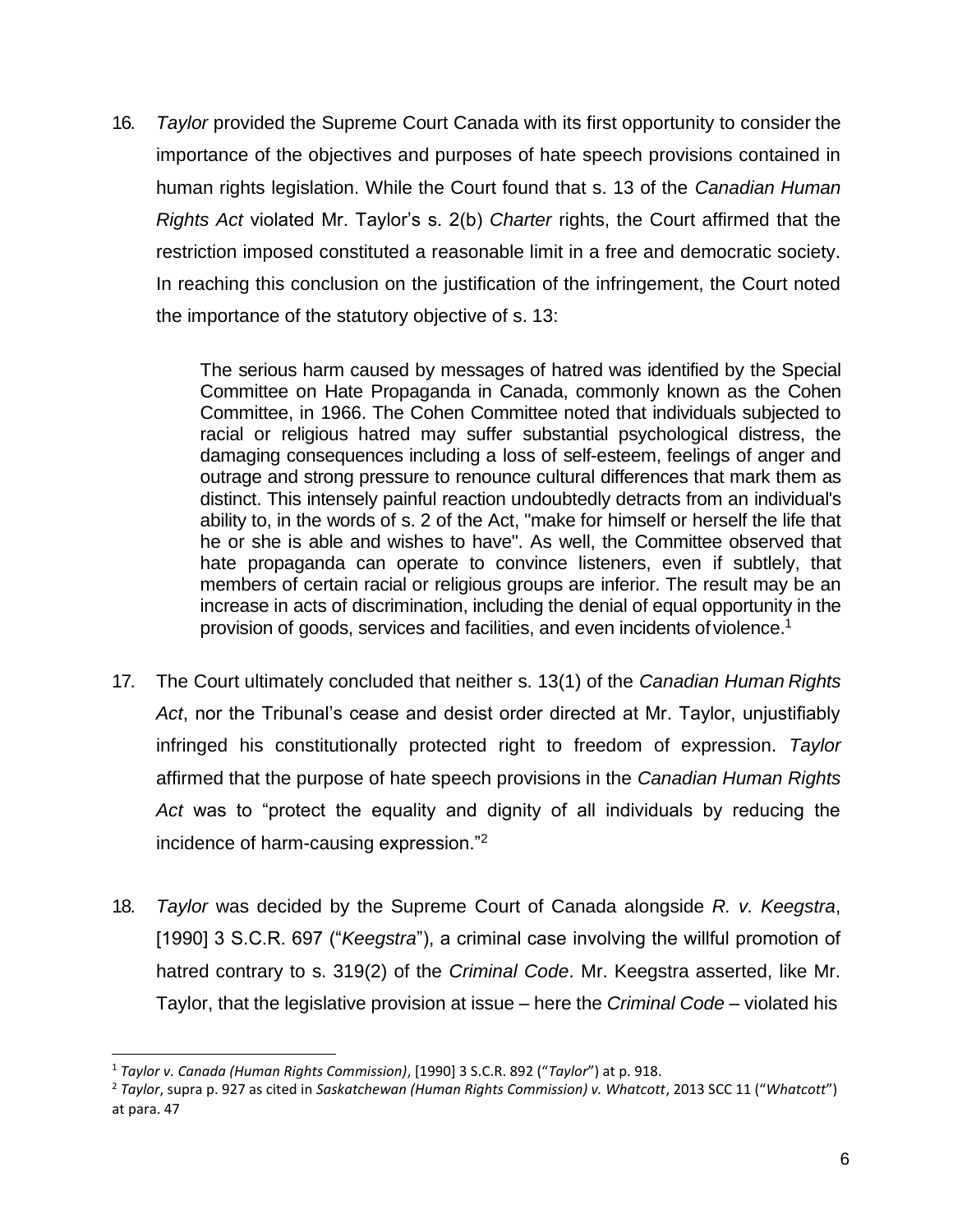16. *Taylor* provided the Supreme Court Canada with its first opportunity to consider the importance of the objectives and purposes of hate speech provisions contained in human rights legislation. While the Court found that s. 13 of the *Canadian Human Rights Act* violated Mr. Taylor's s. 2(b) *Charter* rights, the Court affirmed that the restriction imposed constituted a reasonable limit in a free and democratic society. In reaching this conclusion on the justification of the infringement, the Court noted the importance of the statutory objective of s. 13:

> The serious harm caused by messages of hatred was identified by the Special Committee on Hate Propaganda in Canada, commonly known as the Cohen Committee, in 1966. The Cohen Committee noted that individuals subjected to racial or religious hatred may suffer substantial psychological distress, the damaging consequences including a loss of self-esteem, feelings of anger and outrage and strong pressure to renounce cultural differences that mark them as distinct. This intensely painful reaction undoubtedly detracts from an individual's ability to, in the words of s. 2 of the Act, "make for himself or herself the life that he or she is able and wishes to have". As well, the Committee observed that hate propaganda can operate to convince listeners, even if subtlely, that members of certain racial or religious groups are inferior. The result may be an increase in acts of discrimination, including the denial of equal opportunity in the provision of goods, services and facilities, and even incidents of violence.[1](#page-5-0)

- 17. The Court ultimately concluded that neither s. 13(1) of the *Canadian Human Rights Act*, nor the Tribunal's cease and desist order directed at Mr. Taylor, unjustifiably infringed his constitutionally protected right to freedom of expression. *Taylor*  affirmed that the purpose of hate speech provisions in the *Canadian Human Rights Act* was to "protect the equality and dignity of all individuals by reducing the incidence of harm-causing expression."[2](#page-5-1)
- 18. *Taylor* was decided by the Supreme Court of Canada alongside *R. v. Keegstra*, [1990] 3 S.C.R. 697 ("*Keegstra*"), a criminal case involving the willful promotion of hatred contrary to s. 319(2) of the *Criminal Code*. Mr. Keegstra asserted, like Mr. Taylor, that the legislative provision at issue – here the *Criminal Code* – violated his

<span id="page-5-0"></span><sup>1</sup> *Taylor v. Canada (Human Rights Commission)*, [1990] 3 S.C.R. 892 ("*Taylor*") at p. 918.

<span id="page-5-1"></span><sup>2</sup> *Taylor*, supra p. 927 as cited in *Saskatchewan (Human Rights Commission) v. Whatcott*, 2013 SCC 11 ("*Whatcott*") at para. 47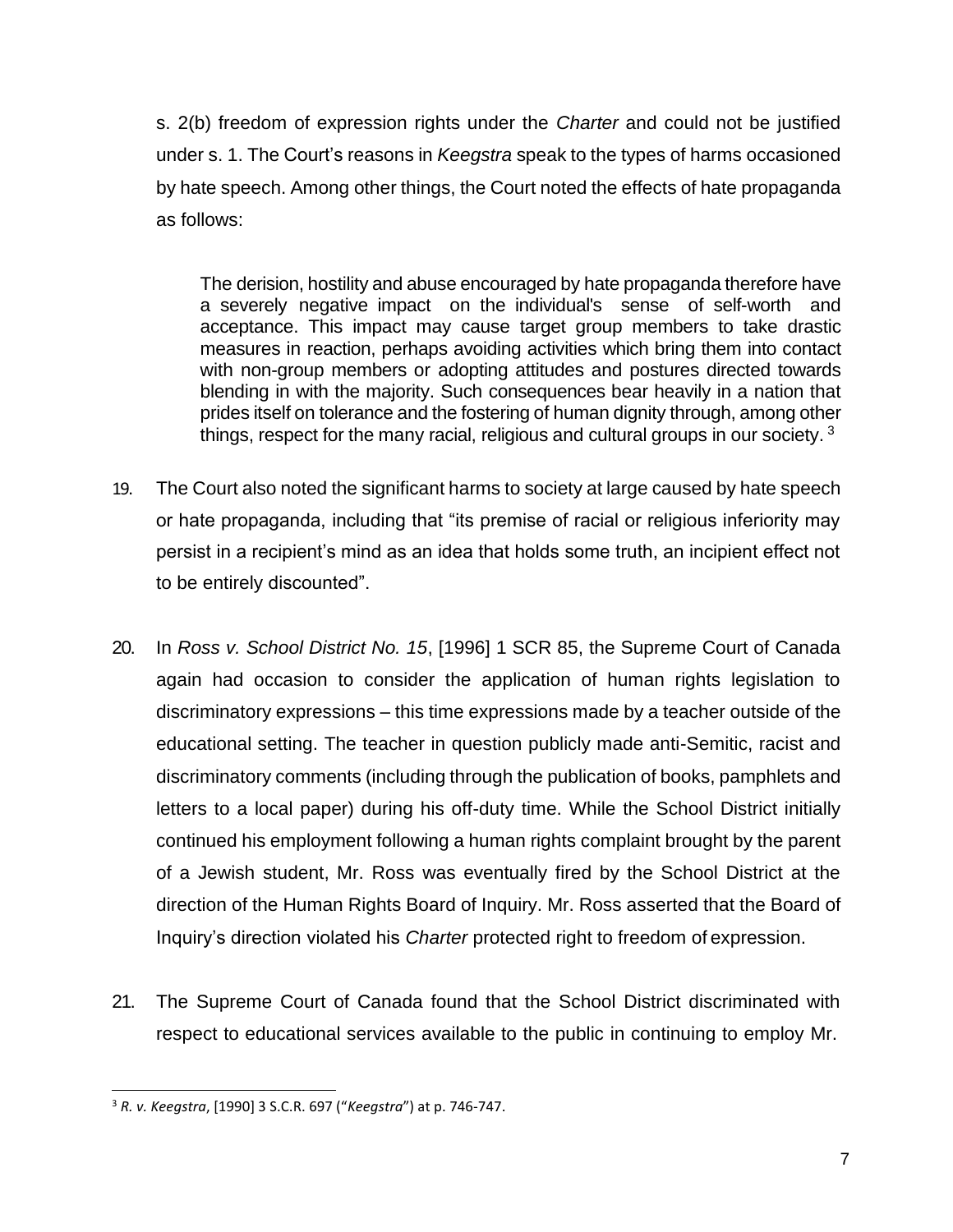s. 2(b) freedom of expression rights under the *Charter* and could not be justified under s. 1. The Court's reasons in *Keegstra* speak to the types of harms occasioned by hate speech. Among other things, the Court noted the effects of hate propaganda as follows:

The derision, hostility and abuse encouraged by hate propaganda therefore have a severely negative impact on the individual's sense of self-worth and acceptance. This impact may cause target group members to take drastic measures in reaction, perhaps avoiding activities which bring them into contact with non-group members or adopting attitudes and postures directed towards blending in with the majority. Such consequences bear heavily in a nation that prides itself on tolerance and the fostering of human dignity through, among other things, respect for the many racial, religious and cultural groups in our society. [3](#page-6-0)

- 19. The Court also noted the significant harms to society at large caused by hate speech or hate propaganda, including that "its premise of racial or religious inferiority may persist in a recipient's mind as an idea that holds some truth, an incipient effect not to be entirely discounted".
- 20. In *Ross v. School District No. 15*, [1996] 1 SCR 85, the Supreme Court of Canada again had occasion to consider the application of human rights legislation to discriminatory expressions – this time expressions made by a teacher outside of the educational setting. The teacher in question publicly made anti-Semitic, racist and discriminatory comments (including through the publication of books, pamphlets and letters to a local paper) during his off-duty time. While the School District initially continued his employment following a human rights complaint brought by the parent of a Jewish student, Mr. Ross was eventually fired by the School District at the direction of the Human Rights Board of Inquiry. Mr. Ross asserted that the Board of Inquiry's direction violated his *Charter* protected right to freedom of expression.
- 21. The Supreme Court of Canada found that the School District discriminated with respect to educational services available to the public in continuing to employ Mr.

<span id="page-6-0"></span><sup>3</sup> *R. v. Keegstra*, [1990] 3 S.C.R. 697 ("*Keegstra*") at p. 746-747.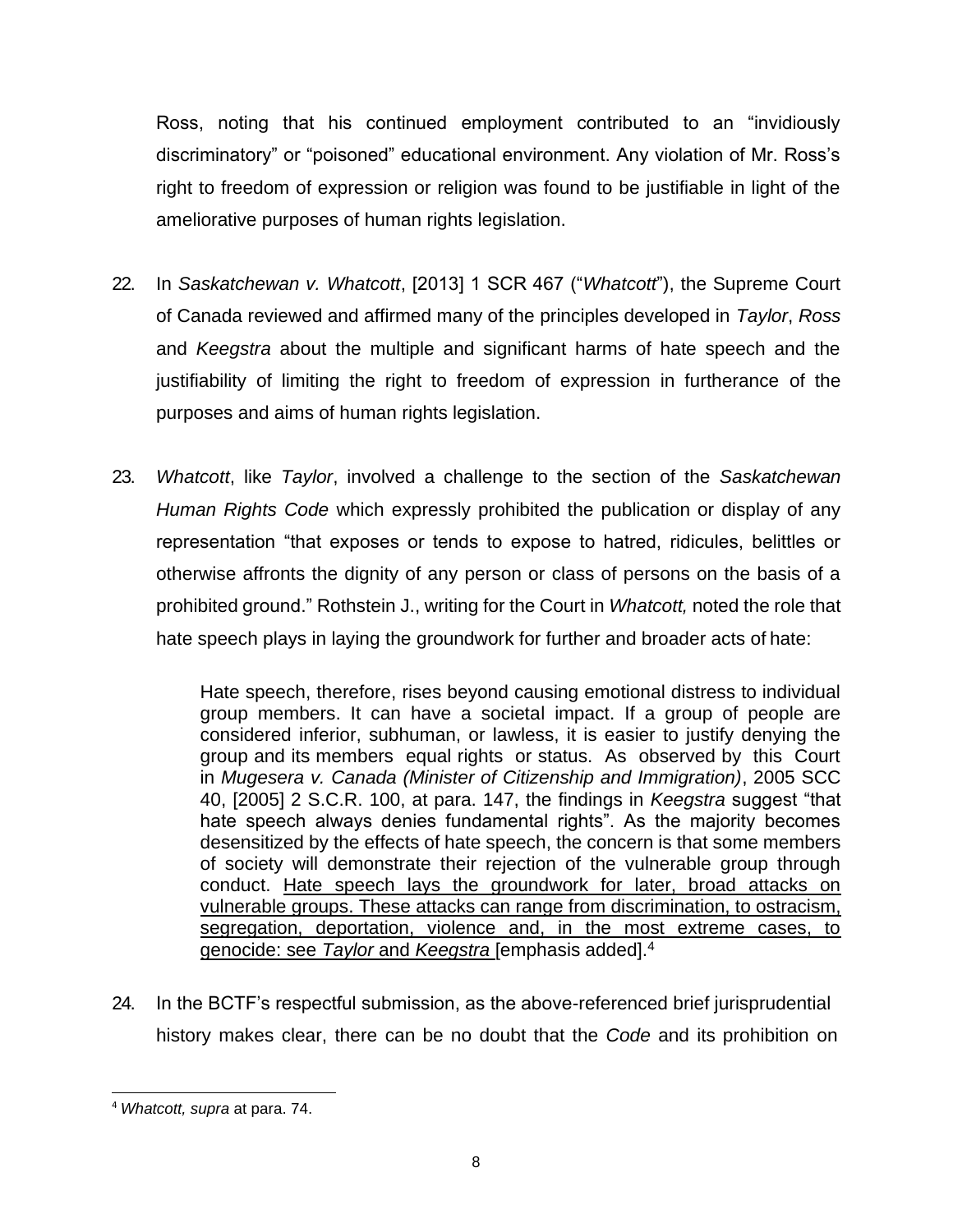Ross, noting that his continued employment contributed to an "invidiously discriminatory" or "poisoned" educational environment. Any violation of Mr. Ross's right to freedom of expression or religion was found to be justifiable in light of the ameliorative purposes of human rights legislation.

- 22. In *Saskatchewan v. Whatcott*, [2013] 1 SCR 467 ("*Whatcott*"), the Supreme Court of Canada reviewed and affirmed many of the principles developed in *Taylor*, *Ross*  and *Keegstra* about the multiple and significant harms of hate speech and the justifiability of limiting the right to freedom of expression in furtherance of the purposes and aims of human rights legislation.
- 23. *Whatcott*, like *Taylor*, involved a challenge to the section of the *Saskatchewan Human Rights Code* which expressly prohibited the publication or display of any representation "that exposes or tends to expose to hatred, ridicules, belittles or otherwise affronts the dignity of any person or class of persons on the basis of a prohibited ground." Rothstein J., writing for the Court in *Whatcott,* noted the role that hate speech plays in laying the groundwork for further and broader acts of hate:

Hate speech, therefore, rises beyond causing emotional distress to individual group members. It can have a societal impact. If a group of people are considered inferior, subhuman, or lawless, it is easier to justify denying the group and its members equal rights or status. As observed by this Court in *Mugesera v. Canada (Minister of Citizenship and Immigration)*, 2005 SCC 40, [2005] 2 S.C.R. 100, at para. 147, the findings in *Keegstra* suggest "that hate speech always denies fundamental rights". As the majority becomes desensitized by the effects of hate speech, the concern is that some members of society will demonstrate their rejection of the vulnerable group through conduct. Hate speech lays the groundwork for later, broad attacks on vulnerable groups. These attacks can range from discrimination, to ostracism, segregation, deportation, violence and, in the most extreme cases, to genocide: see *Taylor* and *Keegstra* [emphasis added].[4](#page-7-0)

24. In the BCTF's respectful submission, as the above-referenced brief jurisprudential history makes clear, there can be no doubt that the *Code* and its prohibition on

<span id="page-7-0"></span><sup>4</sup> *Whatcott, supra* at para. 74.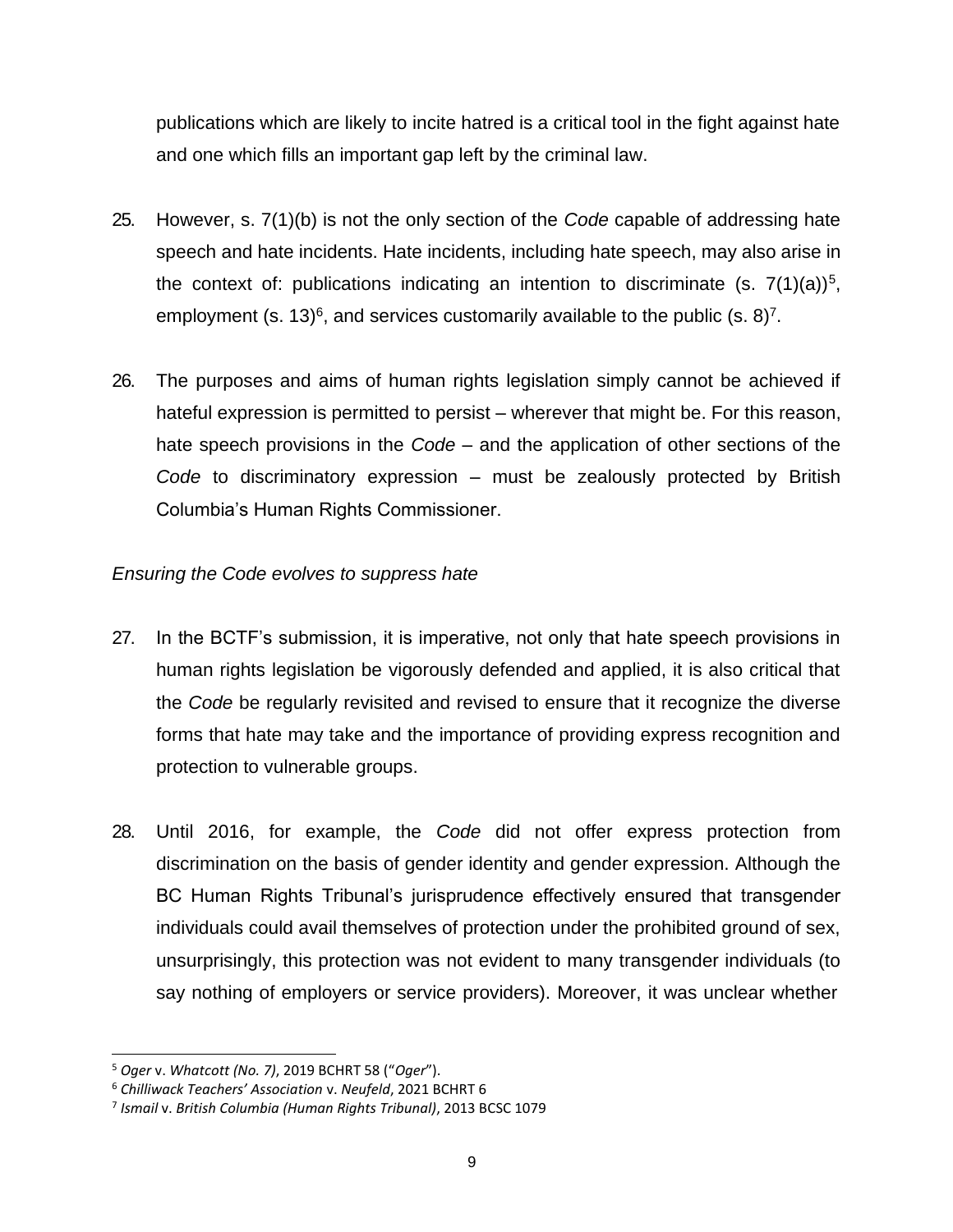publications which are likely to incite hatred is a critical tool in the fight against hate and one which fills an important gap left by the criminal law.

- 25. However, s. 7(1)(b) is not the only section of the *Code* capable of addressing hate speech and hate incidents. Hate incidents, including hate speech, may also arise in the context of: publications indicating an intention to discriminate (s.  $7(1)(a)$ <sup>[5](#page-8-0)</sup>, employment (s. 13)<sup>[6](#page-8-1)</sup>, and services customarily available to the public (s. 8)<sup>[7](#page-8-2)</sup>.
- 26. The purposes and aims of human rights legislation simply cannot be achieved if hateful expression is permitted to persist – wherever that might be. For this reason, hate speech provisions in the *Code* – and the application of other sections of the *Code* to discriminatory expression – must be zealously protected by British Columbia's Human Rights Commissioner.

# *Ensuring the Code evolves to suppress hate*

- 27. In the BCTF's submission, it is imperative, not only that hate speech provisions in human rights legislation be vigorously defended and applied, it is also critical that the *Code* be regularly revisited and revised to ensure that it recognize the diverse forms that hate may take and the importance of providing express recognition and protection to vulnerable groups.
- 28. Until 2016, for example, the *Code* did not offer express protection from discrimination on the basis of gender identity and gender expression. Although the BC Human Rights Tribunal's jurisprudence effectively ensured that transgender individuals could avail themselves of protection under the prohibited ground of sex, unsurprisingly, this protection was not evident to many transgender individuals (to say nothing of employers or service providers). Moreover, it was unclear whether

<span id="page-8-0"></span><sup>5</sup> *Oger* v. *Whatcott (No. 7)*, 2019 BCHRT 58 ("*Oger*").

<span id="page-8-1"></span><sup>6</sup> *Chilliwack Teachers' Association* v. *Neufeld*, 2021 BCHRT 6

<span id="page-8-2"></span><sup>7</sup> *Ismail* v. *British Columbia (Human Rights Tribunal)*, 2013 BCSC 1079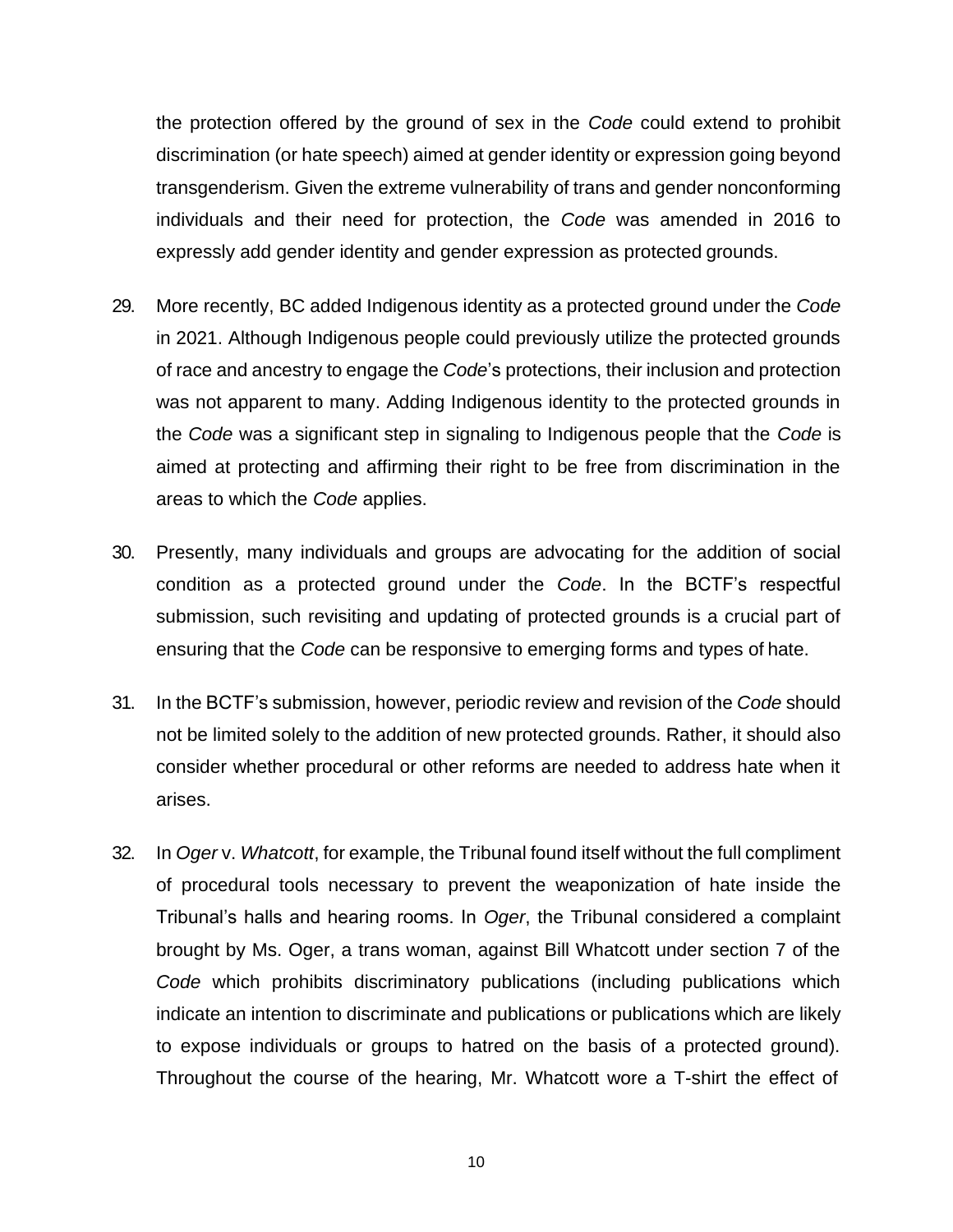the protection offered by the ground of sex in the *Code* could extend to prohibit discrimination (or hate speech) aimed at gender identity or expression going beyond transgenderism. Given the extreme vulnerability of trans and gender nonconforming individuals and their need for protection, the *Code* was amended in 2016 to expressly add gender identity and gender expression as protected grounds.

- 29. More recently, BC added Indigenous identity as a protected ground under the *Code*  in 2021. Although Indigenous people could previously utilize the protected grounds of race and ancestry to engage the *Code*'s protections, their inclusion and protection was not apparent to many. Adding Indigenous identity to the protected grounds in the *Code* was a significant step in signaling to Indigenous people that the *Code* is aimed at protecting and affirming their right to be free from discrimination in the areas to which the *Code* applies.
- 30. Presently, many individuals and groups are advocating for the addition of social condition as a protected ground under the *Code*. In the BCTF's respectful submission, such revisiting and updating of protected grounds is a crucial part of ensuring that the *Code* can be responsive to emerging forms and types of hate.
- 31. In the BCTF's submission, however, periodic review and revision of the *Code* should not be limited solely to the addition of new protected grounds. Rather, it should also consider whether procedural or other reforms are needed to address hate when it arises.
- 32. In *Oger* v. *Whatcott*, for example, the Tribunal found itself without the full compliment of procedural tools necessary to prevent the weaponization of hate inside the Tribunal's halls and hearing rooms. In *Oger*, the Tribunal considered a complaint brought by Ms. Oger, a trans woman, against Bill Whatcott under section 7 of the *Code* which prohibits discriminatory publications (including publications which indicate an intention to discriminate and publications or publications which are likely to expose individuals or groups to hatred on the basis of a protected ground). Throughout the course of the hearing, Mr. Whatcott wore a T-shirt the effect of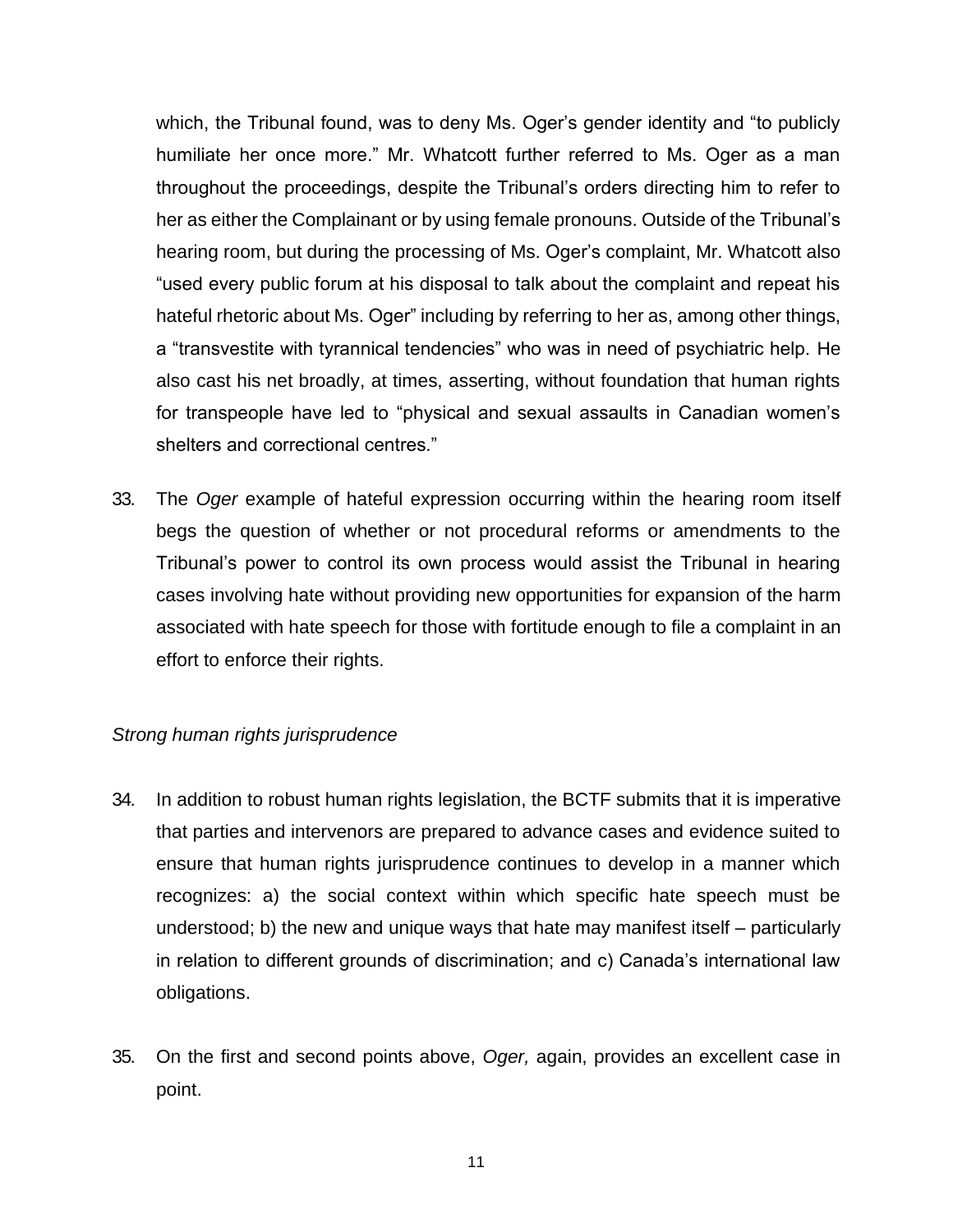which, the Tribunal found, was to deny Ms. Oger's gender identity and "to publicly humiliate her once more." Mr. Whatcott further referred to Ms. Oger as a man throughout the proceedings, despite the Tribunal's orders directing him to refer to her as either the Complainant or by using female pronouns. Outside of the Tribunal's hearing room, but during the processing of Ms. Oger's complaint, Mr. Whatcott also "used every public forum at his disposal to talk about the complaint and repeat his hateful rhetoric about Ms. Oger" including by referring to her as, among other things, a "transvestite with tyrannical tendencies" who was in need of psychiatric help. He also cast his net broadly, at times, asserting, without foundation that human rights for transpeople have led to "physical and sexual assaults in Canadian women's shelters and correctional centres."

33. The *Oger* example of hateful expression occurring within the hearing room itself begs the question of whether or not procedural reforms or amendments to the Tribunal's power to control its own process would assist the Tribunal in hearing cases involving hate without providing new opportunities for expansion of the harm associated with hate speech for those with fortitude enough to file a complaint in an effort to enforce their rights.

#### *Strong human rights jurisprudence*

- 34. In addition to robust human rights legislation, the BCTF submits that it is imperative that parties and intervenors are prepared to advance cases and evidence suited to ensure that human rights jurisprudence continues to develop in a manner which recognizes: a) the social context within which specific hate speech must be understood; b) the new and unique ways that hate may manifest itself – particularly in relation to different grounds of discrimination; and c) Canada's international law obligations.
- 35. On the first and second points above, *Oger,* again, provides an excellent case in point.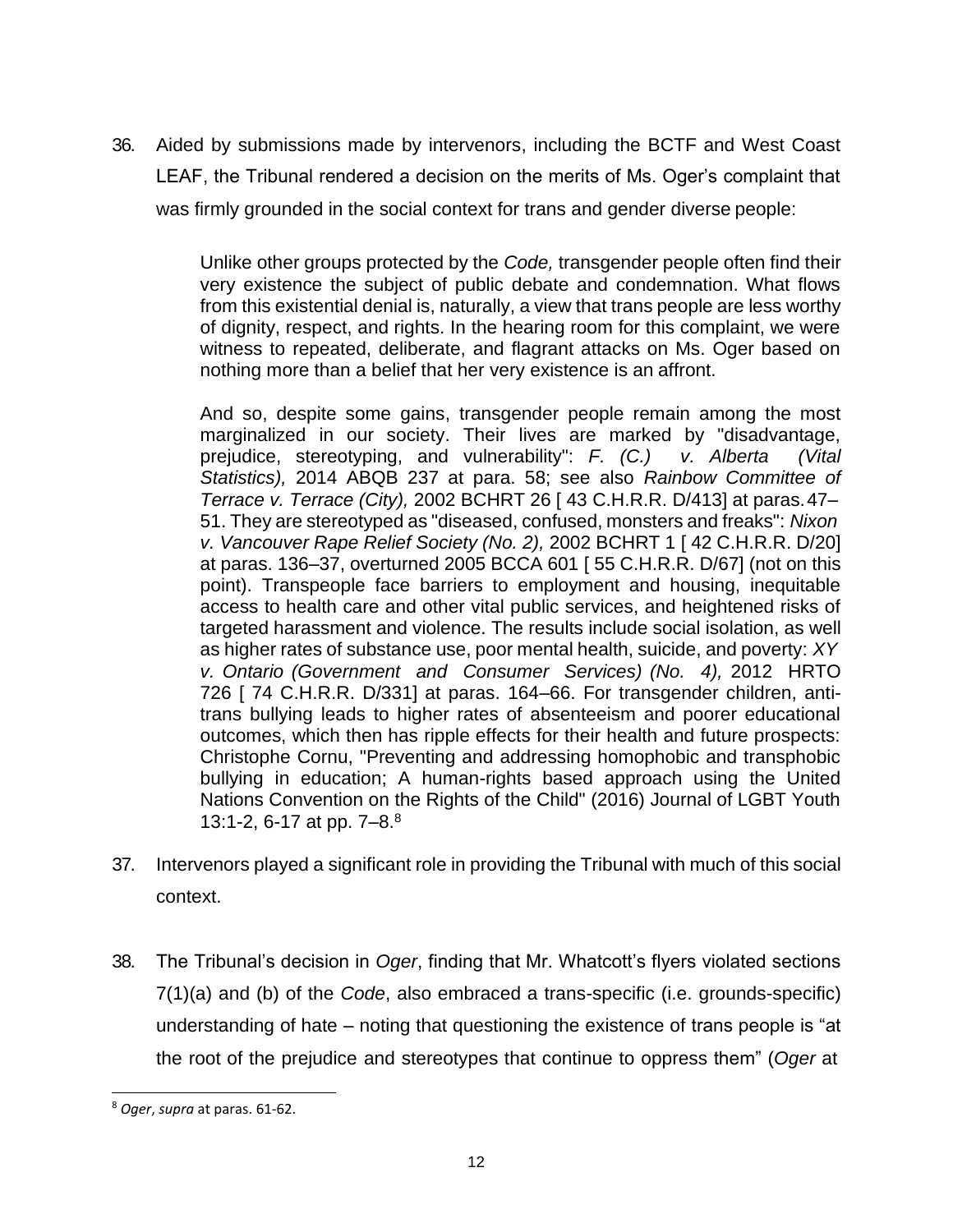36. Aided by submissions made by intervenors, including the BCTF and West Coast LEAF, the Tribunal rendered a decision on the merits of Ms. Oger's complaint that was firmly grounded in the social context for trans and gender diverse people:

> Unlike other groups protected by the *Code,* transgender people often find their very existence the subject of public debate and condemnation. What flows from this existential denial is, naturally, a view that trans people are less worthy of dignity, respect, and rights. In the hearing room for this complaint, we were witness to repeated, deliberate, and flagrant attacks on Ms. Oger based on nothing more than a belief that her very existence is an affront.

> And so, despite some gains, transgender people remain among the most marginalized in our society. Their lives are marked by "disadvantage, prejudice, stereotyping, and vulnerability": *F. (C.) v. Alberta (Vital Statistics),* 2014 ABQB 237 at para. 58; see also *Rainbow Committee of Terrace v. Terrace (City),* 2002 BCHRT 26 [ 43 C.H.R.R. D/413] at paras.47– 51. They are stereotyped as "diseased, confused, monsters and freaks": *Nixon v. Vancouver Rape Relief Society (No. 2),* 2002 BCHRT 1 [ 42 C.H.R.R. D/20] at paras. 136–37, overturned 2005 BCCA 601 [ 55 C.H.R.R. D/67] (not on this point). Transpeople face barriers to employment and housing, inequitable access to health care and other vital public services, and heightened risks of targeted harassment and violence. The results include social isolation, as well as higher rates of substance use, poor mental health, suicide, and poverty: *XY v. Ontario (Government and Consumer Services) (No. 4),* 2012 HRTO 726 [ 74 C.H.R.R. D/331] at paras. 164–66. For transgender children, antitrans bullying leads to higher rates of absenteeism and poorer educational outcomes, which then has ripple effects for their health and future prospects: Christophe Cornu, "Preventing and addressing homophobic and transphobic bullying in education; A human-rights based approach using the United Nations Convention on the Rights of the Child" (2016) Journal of LGBT Youth 13:1-2, 6-17 at pp.  $7-8.8$  $7-8.8$  $7-8.8$

- 37. Intervenors played a significant role in providing the Tribunal with much of this social context.
- 38. The Tribunal's decision in *Oger*, finding that Mr. Whatcott's flyers violated sections 7(1)(a) and (b) of the *Code*, also embraced a trans-specific (i.e. grounds-specific) understanding of hate – noting that questioning the existence of trans people is "at the root of the prejudice and stereotypes that continue to oppress them" (*Oger* at

<span id="page-11-0"></span><sup>8</sup> *Oger*, *supra* at paras. 61-62.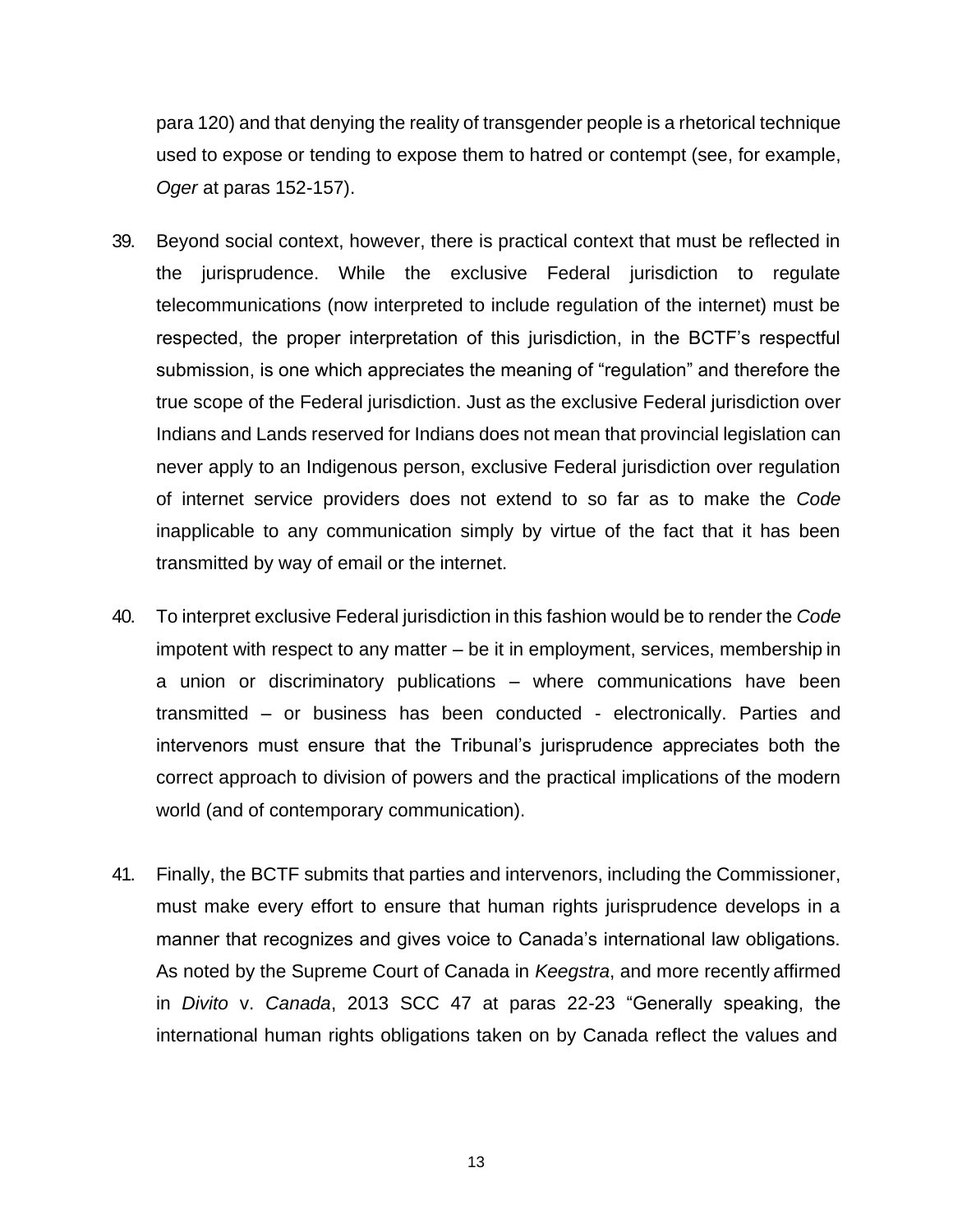para 120) and that denying the reality of transgender people is a rhetorical technique used to expose or tending to expose them to hatred or contempt (see, for example, *Oger* at paras 152-157).

- 39. Beyond social context, however, there is practical context that must be reflected in the jurisprudence. While the exclusive Federal jurisdiction to regulate telecommunications (now interpreted to include regulation of the internet) must be respected, the proper interpretation of this jurisdiction, in the BCTF's respectful submission, is one which appreciates the meaning of "regulation" and therefore the true scope of the Federal jurisdiction. Just as the exclusive Federal jurisdiction over Indians and Lands reserved for Indians does not mean that provincial legislation can never apply to an Indigenous person, exclusive Federal jurisdiction over regulation of internet service providers does not extend to so far as to make the *Code*  inapplicable to any communication simply by virtue of the fact that it has been transmitted by way of email or the internet.
- 40. To interpret exclusive Federal jurisdiction in this fashion would be to render the *Code*  impotent with respect to any matter – be it in employment, services, membership in a union or discriminatory publications – where communications have been transmitted – or business has been conducted - electronically. Parties and intervenors must ensure that the Tribunal's jurisprudence appreciates both the correct approach to division of powers and the practical implications of the modern world (and of contemporary communication).
- 41. Finally, the BCTF submits that parties and intervenors, including the Commissioner, must make every effort to ensure that human rights jurisprudence develops in a manner that recognizes and gives voice to Canada's international law obligations. As noted by the Supreme Court of Canada in *Keegstra*, and more recently affirmed in *Divito* v. *Canada*, 2013 SCC 47 at paras 22-23 "Generally speaking, the international human rights obligations taken on by Canada reflect the values and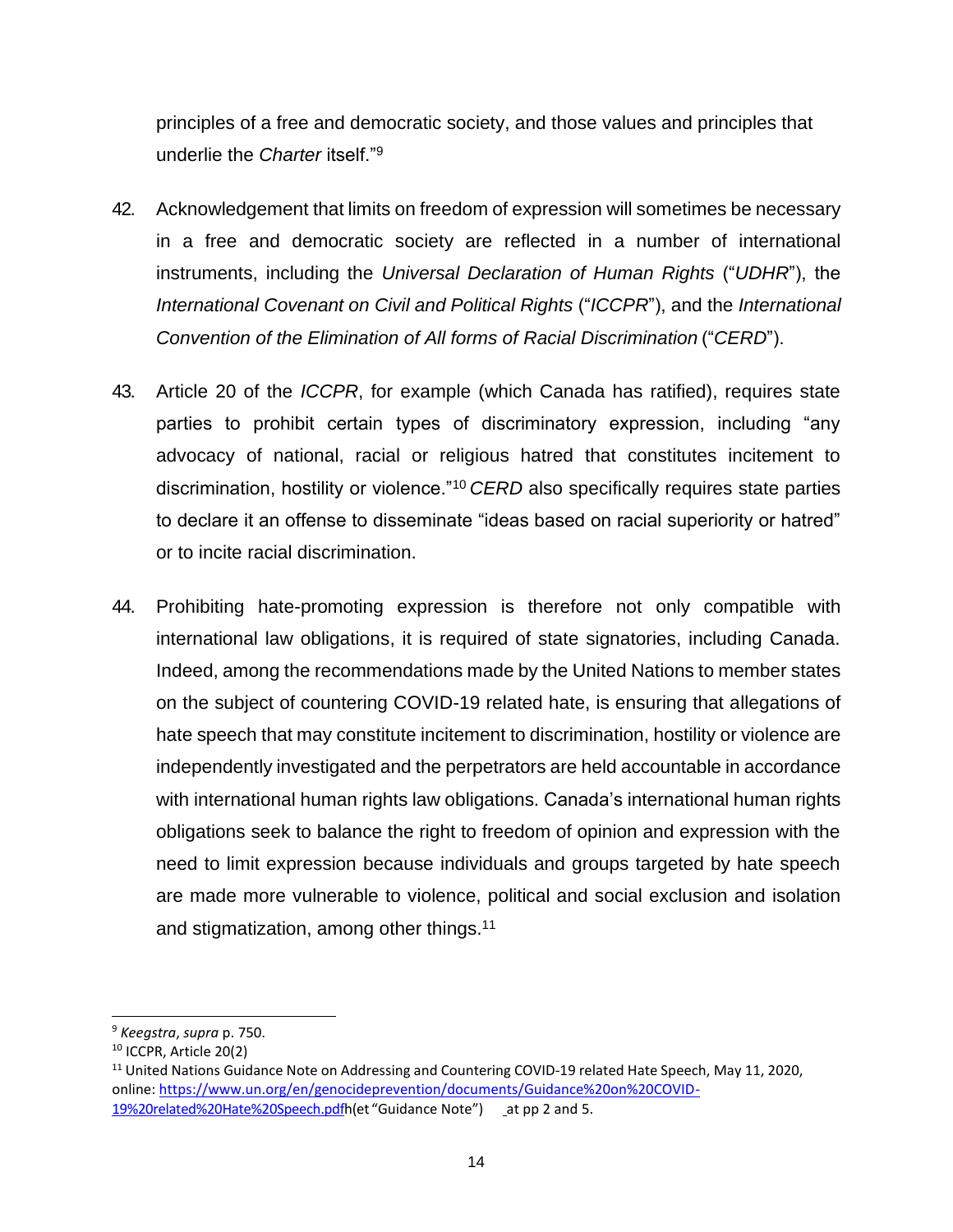principles of a free and democratic society, and those values and principles that underlie the *Charter* itself."[9](#page-13-0)

- 42. Acknowledgement that limits on freedom of expression will sometimes be necessary in a free and democratic society are reflected in a number of international instruments, including the *Universal Declaration of Human Rights* ("*UDHR*"), the *International Covenant on Civil and Political Rights* ("*ICCPR*"), and the *International Convention of the Elimination of All forms of Racial Discrimination* ("*CERD*").
- 43. Article 20 of the *ICCPR*, for example (which Canada has ratified), requires state parties to prohibit certain types of discriminatory expression, including "any advocacy of national, racial or religious hatred that constitutes incitement to discrimination, hostility or violence."[10](#page-13-1) *CERD* also specifically requires state parties to declare it an offense to disseminate "ideas based on racial superiority or hatred" or to incite racial discrimination.
- 44. Prohibiting hate-promoting expression is therefore not only compatible with international law obligations, it is required of state signatories, including Canada. Indeed, among the recommendations made by the United Nations to member states on the subject of countering COVID-19 related hate, is ensuring that allegations of hate speech that may constitute incitement to discrimination, hostility or violence are independently investigated and the perpetrators are held accountable in accordance with international human rights law obligations. Canada's international human rights obligations seek to balance the right to freedom of opinion and expression with the need to limit expression because individuals and groups targeted by hate speech are made more vulnerable to violence, political and social exclusion and isolation and stigmatization, among other things.[11](#page-13-2)

<span id="page-13-0"></span><sup>9</sup> *Keegstra*, *supra* p. 750.

<span id="page-13-1"></span><sup>10</sup> ICCPR, Article 20(2)

<span id="page-13-2"></span><sup>&</sup>lt;sup>11</sup> United Nations Guidance Note on Addressing and Countering COVID-19 related Hate Speech, May 11, 2020, online[: https://www.un.org/en/genocideprevention/documents/Guidance%20on%20COVID-](https://www.un.org/en/genocideprevention/documents/Guidance%20on%20COVID-19%20related%20Hate%20Speech.pdf)[19%20related%20Hate%20Speech.pdfh](https://www.un.org/en/genocideprevention/documents/Guidance%20on%20COVID-19%20related%20Hate%20Speech.pdf)(et "Guidance Note") at pp 2 and 5.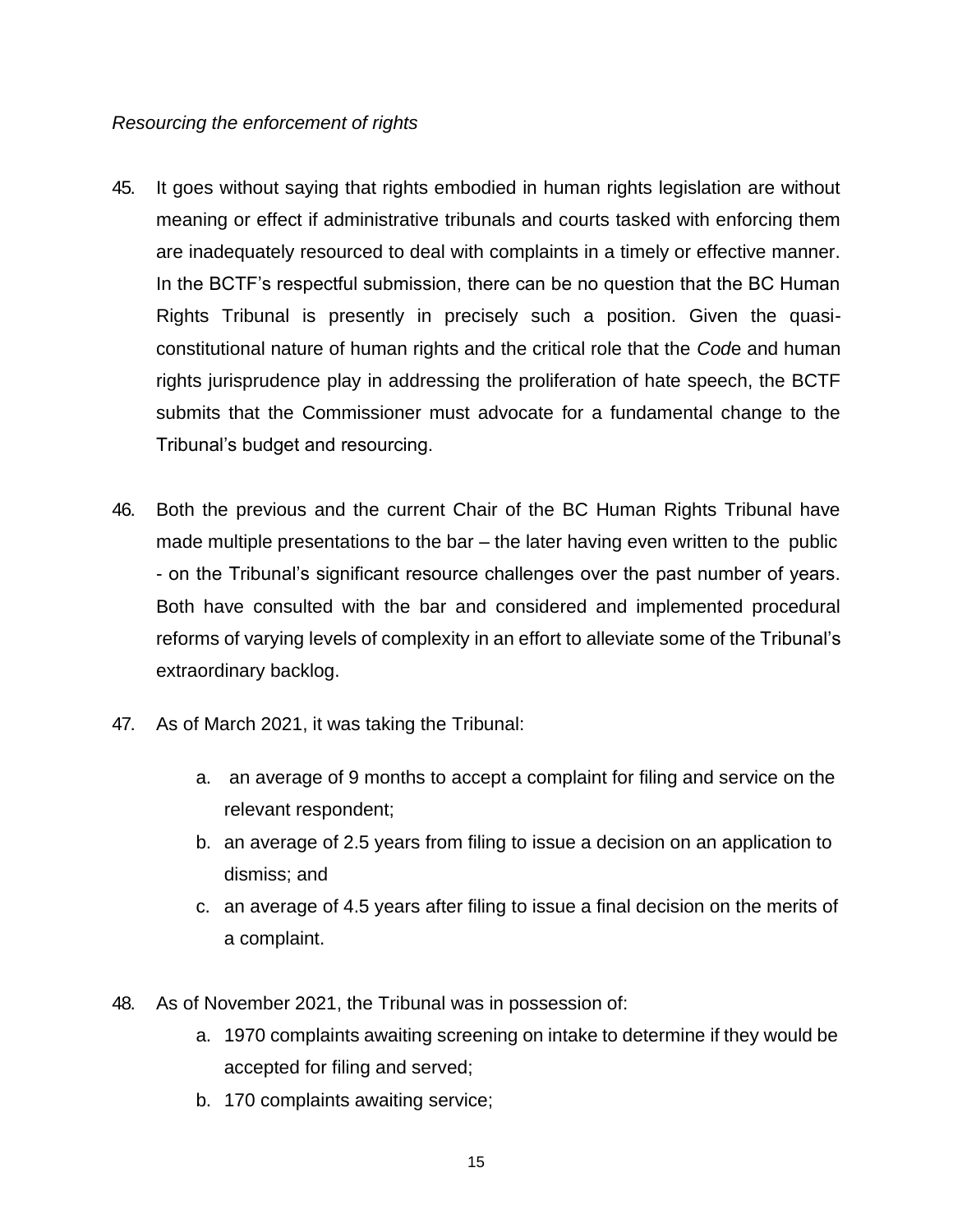#### *Resourcing the enforcement of rights*

- 45. It goes without saying that rights embodied in human rights legislation are without meaning or effect if administrative tribunals and courts tasked with enforcing them are inadequately resourced to deal with complaints in a timely or effective manner. In the BCTF's respectful submission, there can be no question that the BC Human Rights Tribunal is presently in precisely such a position. Given the quasiconstitutional nature of human rights and the critical role that the *Cod*e and human rights jurisprudence play in addressing the proliferation of hate speech, the BCTF submits that the Commissioner must advocate for a fundamental change to the Tribunal's budget and resourcing.
- 46. Both the previous and the current Chair of the BC Human Rights Tribunal have made multiple presentations to the bar – the later having even written to the public - on the Tribunal's significant resource challenges over the past number of years. Both have consulted with the bar and considered and implemented procedural reforms of varying levels of complexity in an effort to alleviate some of the Tribunal's extraordinary backlog.
- 47. As of March 2021, it was taking the Tribunal:
	- a. an average of 9 months to accept a complaint for filing and service on the relevant respondent;
	- b. an average of 2.5 years from filing to issue a decision on an application to dismiss; and
	- c. an average of 4.5 years after filing to issue a final decision on the merits of a complaint.
- 48. As of November 2021, the Tribunal was in possession of:
	- a. 1970 complaints awaiting screening on intake to determine if they would be accepted for filing and served;
	- b. 170 complaints awaiting service;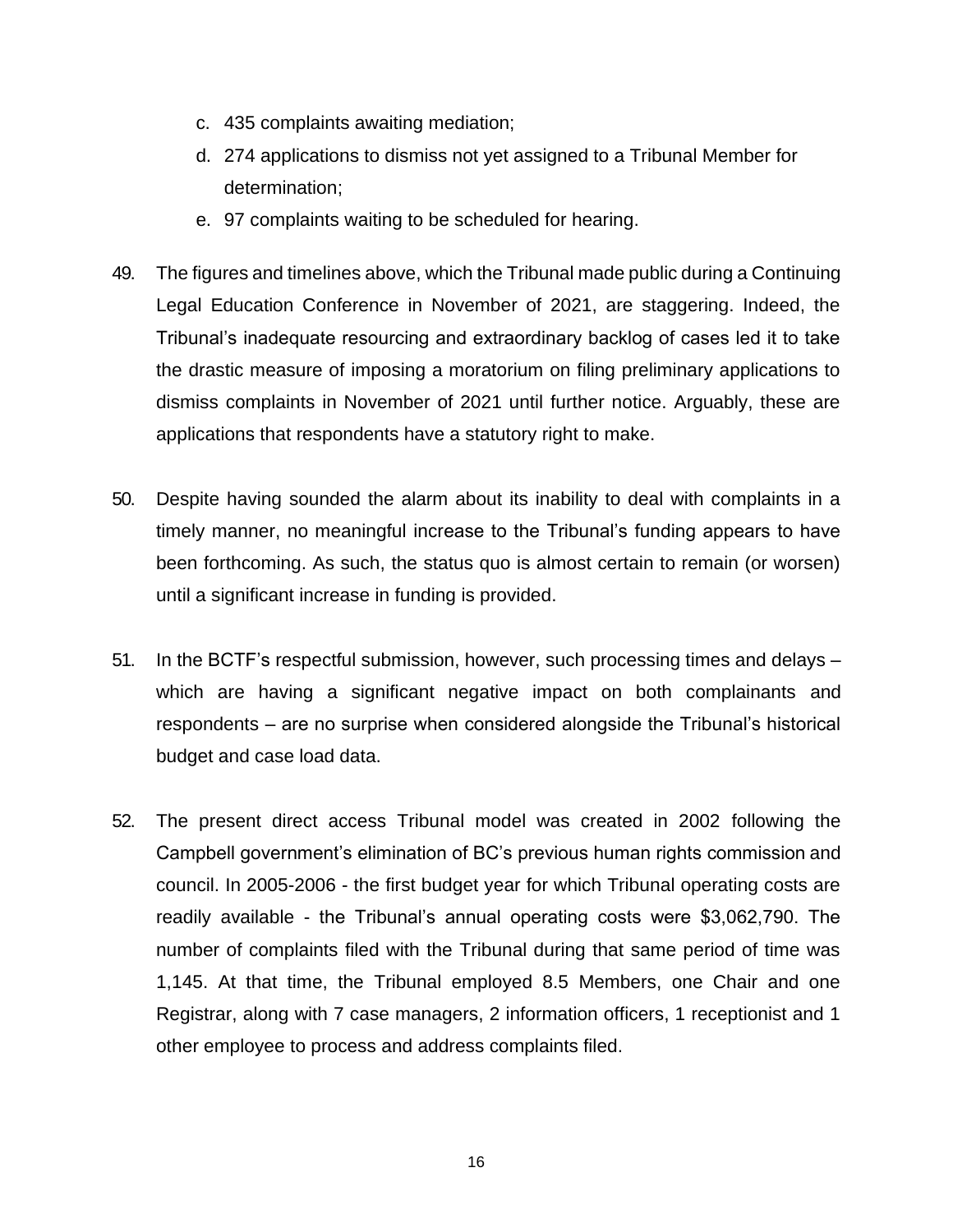- c. 435 complaints awaiting mediation;
- d. 274 applications to dismiss not yet assigned to a Tribunal Member for determination;
- e. 97 complaints waiting to be scheduled for hearing.
- 49. The figures and timelines above, which the Tribunal made public during a Continuing Legal Education Conference in November of 2021, are staggering. Indeed, the Tribunal's inadequate resourcing and extraordinary backlog of cases led it to take the drastic measure of imposing a moratorium on filing preliminary applications to dismiss complaints in November of 2021 until further notice. Arguably, these are applications that respondents have a statutory right to make.
- 50. Despite having sounded the alarm about its inability to deal with complaints in a timely manner, no meaningful increase to the Tribunal's funding appears to have been forthcoming. As such, the status quo is almost certain to remain (or worsen) until a significant increase in funding is provided.
- 51. In the BCTF's respectful submission, however, such processing times and delays which are having a significant negative impact on both complainants and respondents – are no surprise when considered alongside the Tribunal's historical budget and case load data.
- 52. The present direct access Tribunal model was created in 2002 following the Campbell government's elimination of BC's previous human rights commission and council. In 2005-2006 - the first budget year for which Tribunal operating costs are readily available - the Tribunal's annual operating costs were \$3,062,790. The number of complaints filed with the Tribunal during that same period of time was 1,145. At that time, the Tribunal employed 8.5 Members, one Chair and one Registrar, along with 7 case managers, 2 information officers, 1 receptionist and 1 other employee to process and address complaints filed.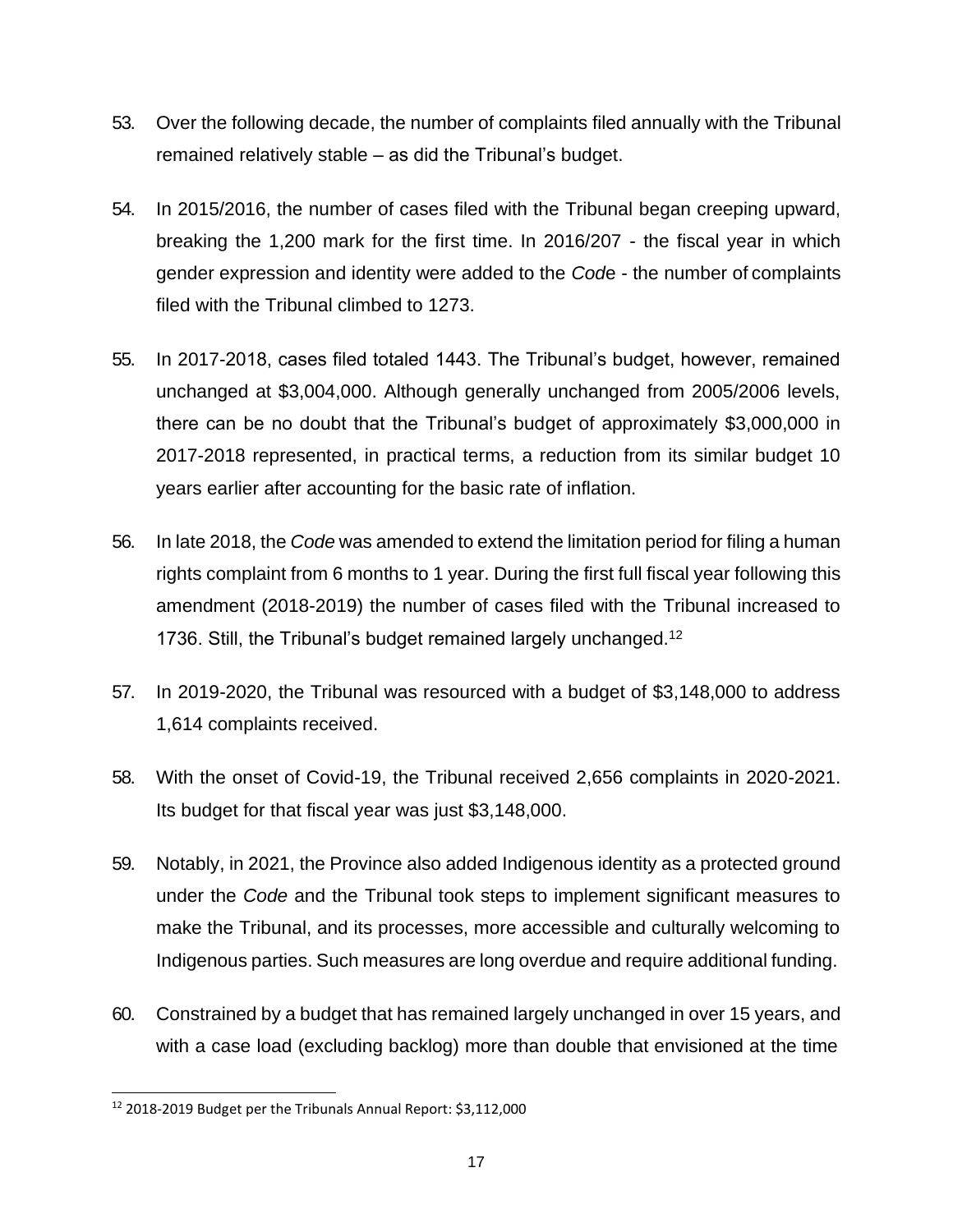- 53. Over the following decade, the number of complaints filed annually with the Tribunal remained relatively stable – as did the Tribunal's budget.
- 54. In 2015/2016, the number of cases filed with the Tribunal began creeping upward, breaking the 1,200 mark for the first time. In 2016/207 - the fiscal year in which gender expression and identity were added to the *Cod*e - the number of complaints filed with the Tribunal climbed to 1273.
- 55. In 2017-2018, cases filed totaled 1443. The Tribunal's budget, however, remained unchanged at \$3,004,000. Although generally unchanged from 2005/2006 levels, there can be no doubt that the Tribunal's budget of approximately \$3,000,000 in 2017-2018 represented, in practical terms, a reduction from its similar budget 10 years earlier after accounting for the basic rate of inflation.
- 56. In late 2018, the *Code* was amended to extend the limitation period for filing a human rights complaint from 6 months to 1 year. During the first full fiscal year following this amendment (2018-2019) the number of cases filed with the Tribunal increased to 1736. Still, the Tribunal's budget remained largely unchanged.<sup>[12](#page-16-0)</sup>
- 57. In 2019-2020, the Tribunal was resourced with a budget of \$3,148,000 to address 1,614 complaints received.
- 58. With the onset of Covid-19, the Tribunal received 2,656 complaints in 2020-2021. Its budget for that fiscal year was just \$3,148,000.
- 59. Notably, in 2021, the Province also added Indigenous identity as a protected ground under the *Code* and the Tribunal took steps to implement significant measures to make the Tribunal, and its processes, more accessible and culturally welcoming to Indigenous parties. Such measures are long overdue and require additional funding.
- 60. Constrained by a budget that has remained largely unchanged in over 15 years, and with a case load (excluding backlog) more than double that envisioned at the time

<span id="page-16-0"></span><sup>12</sup> 2018-2019 Budget per the Tribunals Annual Report: \$3,112,000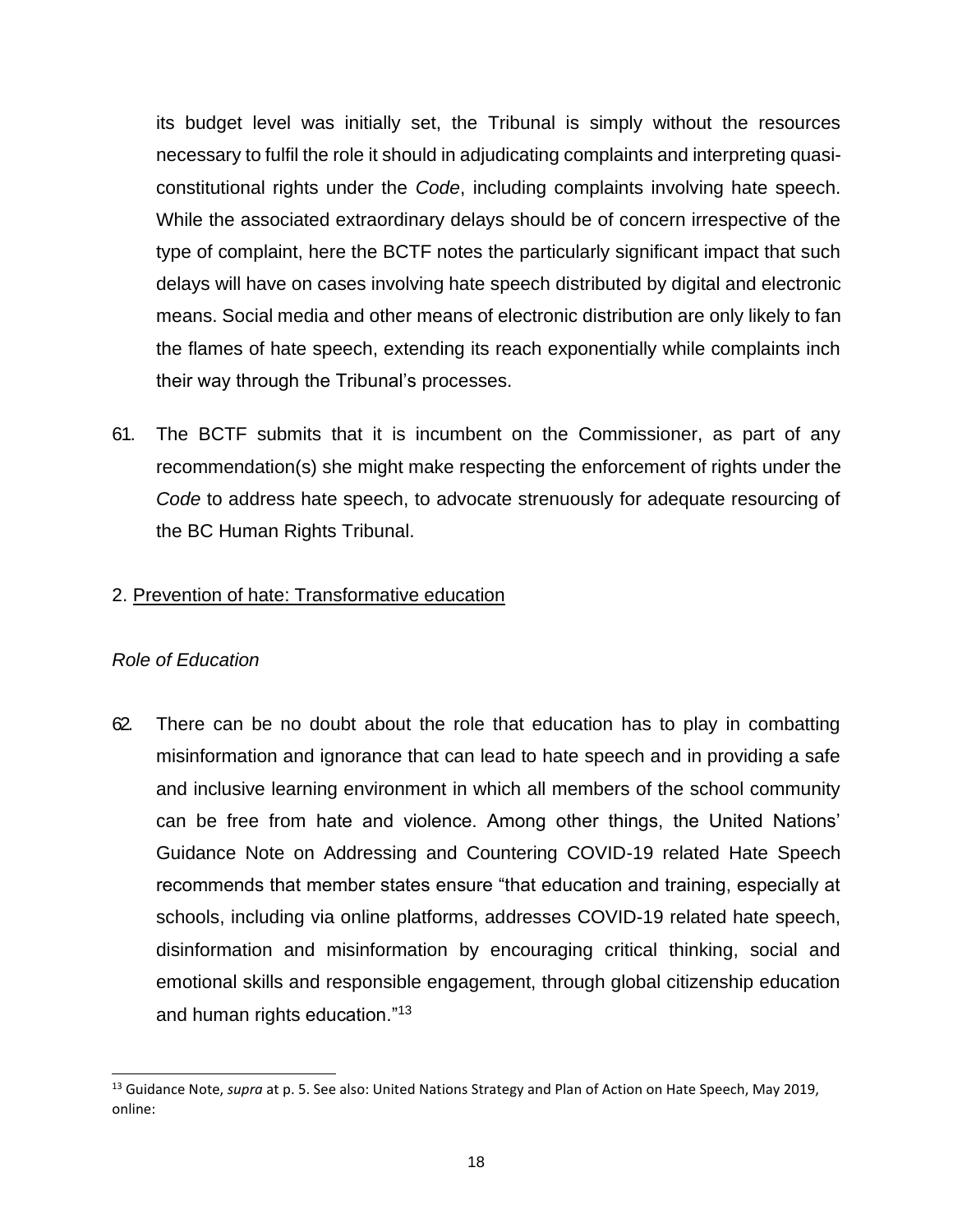its budget level was initially set, the Tribunal is simply without the resources necessary to fulfil the role it should in adjudicating complaints and interpreting quasiconstitutional rights under the *Code*, including complaints involving hate speech. While the associated extraordinary delays should be of concern irrespective of the type of complaint, here the BCTF notes the particularly significant impact that such delays will have on cases involving hate speech distributed by digital and electronic means. Social media and other means of electronic distribution are only likely to fan the flames of hate speech, extending its reach exponentially while complaints inch their way through the Tribunal's processes.

61. The BCTF submits that it is incumbent on the Commissioner, as part of any recommendation(s) she might make respecting the enforcement of rights under the *Code* to address hate speech, to advocate strenuously for adequate resourcing of the BC Human Rights Tribunal.

# 2. Prevention of hate: Transformative education

#### *Role of Education*

62. There can be no doubt about the role that education has to play in combatting misinformation and ignorance that can lead to hate speech and in providing a safe and inclusive learning environment in which all members of the school community can be free from hate and violence. Among other things, the United Nations' Guidance Note on Addressing and Countering COVID-19 related Hate Speech recommends that member states ensure "that education and training, especially at schools, including via online platforms, addresses COVID-19 related hate speech, disinformation and misinformation by encouraging critical thinking, social and emotional skills and responsible engagement, through global citizenship education and human rights education."[13](#page-17-0)

<span id="page-17-0"></span><sup>13</sup> Guidance Note, *supra* at p. 5. See also: United Nations Strategy and Plan of Action on Hate Speech, May 2019, online: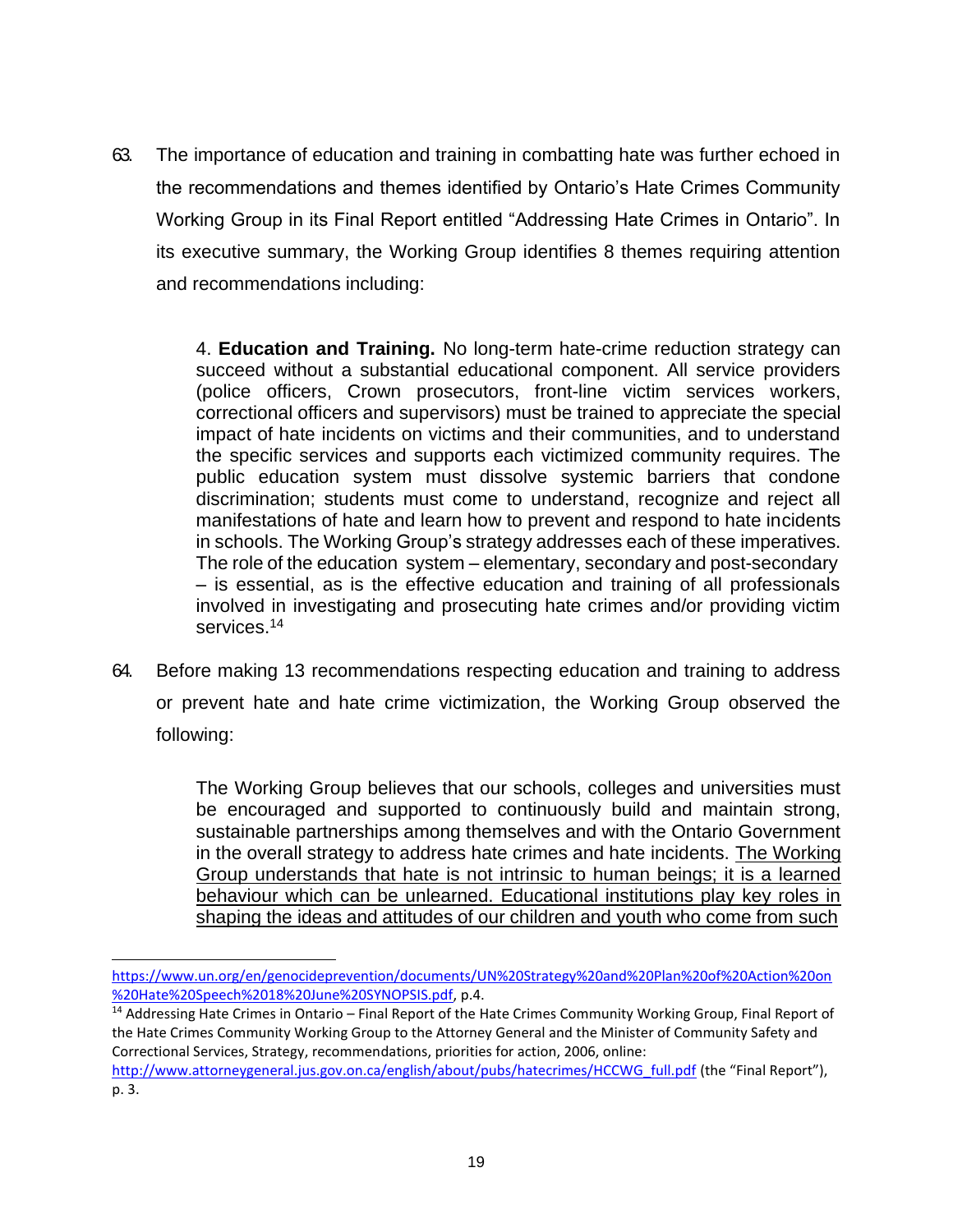63. The importance of education and training in combatting hate was further echoed in the recommendations and themes identified by Ontario's Hate Crimes Community Working Group in its Final Report entitled "Addressing Hate Crimes in Ontario". In its executive summary, the Working Group identifies 8 themes requiring attention and recommendations including:

> 4. **Education and Training.** No long-term hate-crime reduction strategy can succeed without a substantial educational component. All service providers (police officers, Crown prosecutors, front-line victim services workers, correctional officers and supervisors) must be trained to appreciate the special impact of hate incidents on victims and their communities, and to understand the specific services and supports each victimized community requires. The public education system must dissolve systemic barriers that condone discrimination; students must come to understand, recognize and reject all manifestations of hate and learn how to prevent and respond to hate incidents in schools. The Working Group's strategy addresses each of these imperatives. The role of the education system – elementary, secondary and post-secondary – is essential, as is the effective education and training of all professionals involved in investigating and prosecuting hate crimes and/or providing victim services.[14](#page-18-0)

64. Before making 13 recommendations respecting education and training to address or prevent hate and hate crime victimization, the Working Group observed the following:

> The Working Group believes that our schools, colleges and universities must be encouraged and supported to continuously build and maintain strong, sustainable partnerships among themselves and with the Ontario Government in the overall strategy to address hate crimes and hate incidents. The Working Group understands that hate is not intrinsic to human beings; it is a learned behaviour which can be unlearned. Educational institutions play key roles in shaping the ideas and attitudes of our children and youth who come from such

[https://www.un.org/en/genocideprevention/documents/UN%20Strategy%20and%20Plan%20of%20Action%20on](https://www.un.org/en/genocideprevention/documents/UN%20Strategy%20and%20Plan%20of%20Action%20on%20Hate%20Speech%2018%20June%20SYNOPSIS.pdf) [%20Hate%20Speech%2018%20June%20SYNOPSIS.pdf, p](https://www.un.org/en/genocideprevention/documents/UN%20Strategy%20and%20Plan%20of%20Action%20on%20Hate%20Speech%2018%20June%20SYNOPSIS.pdf).4.

<span id="page-18-0"></span><sup>&</sup>lt;sup>14</sup> Addressing Hate Crimes in Ontario – Final Report of the Hate Crimes Community Working Group, Final Report of the Hate Crimes Community Working Group to the Attorney General and the Minister of Community Safety and Correctional Services, Strategy, recommendations, priorities for action, 2006, online:

[http://www.attorneygeneral.jus.gov.on.ca/english/about/pubs/hatecrimes/HCCWG\\_full.pdf](http://www.attorneygeneral.jus.gov.on.ca/english/about/pubs/hatecrimes/HCCWG_full.pdf) (the "Final Report"), p. 3.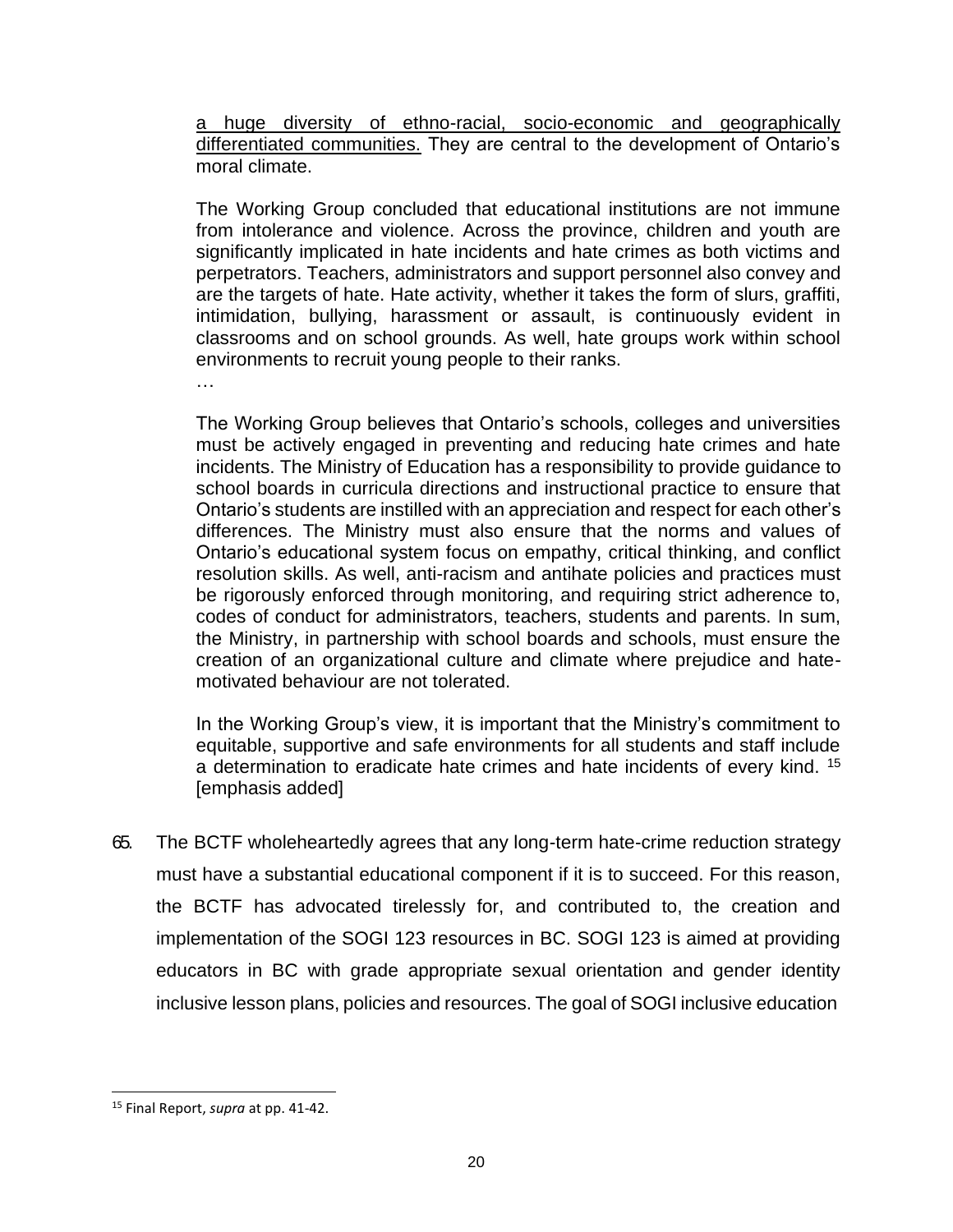a huge diversity of ethno-racial, socio-economic and geographically differentiated communities. They are central to the development of Ontario's moral climate.

The Working Group concluded that educational institutions are not immune from intolerance and violence. Across the province, children and youth are significantly implicated in hate incidents and hate crimes as both victims and perpetrators. Teachers, administrators and support personnel also convey and are the targets of hate. Hate activity, whether it takes the form of slurs, graffiti, intimidation, bullying, harassment or assault, is continuously evident in classrooms and on school grounds. As well, hate groups work within school environments to recruit young people to their ranks.

…

The Working Group believes that Ontario's schools, colleges and universities must be actively engaged in preventing and reducing hate crimes and hate incidents. The Ministry of Education has a responsibility to provide guidance to school boards in curricula directions and instructional practice to ensure that Ontario's students are instilled with an appreciation and respect for each other's differences. The Ministry must also ensure that the norms and values of Ontario's educational system focus on empathy, critical thinking, and conflict resolution skills. As well, anti-racism and antihate policies and practices must be rigorously enforced through monitoring, and requiring strict adherence to, codes of conduct for administrators, teachers, students and parents. In sum, the Ministry, in partnership with school boards and schools, must ensure the creation of an organizational culture and climate where prejudice and hatemotivated behaviour are not tolerated.

In the Working Group's view, it is important that the Ministry's commitment to equitable, supportive and safe environments for all students and staff include a determination to eradicate hate crimes and hate incidents of every kind.<sup>[15](#page-19-0)</sup> [emphasis added]

65. The BCTF wholeheartedly agrees that any long-term hate-crime reduction strategy must have a substantial educational component if it is to succeed. For this reason, the BCTF has advocated tirelessly for, and contributed to, the creation and implementation of the SOGI 123 resources in BC. SOGI 123 is aimed at providing educators in BC with grade appropriate sexual orientation and gender identity inclusive lesson plans, policies and resources. The goal of SOGI inclusive education

<span id="page-19-0"></span><sup>15</sup> Final Report, *supra* at pp. 41-42.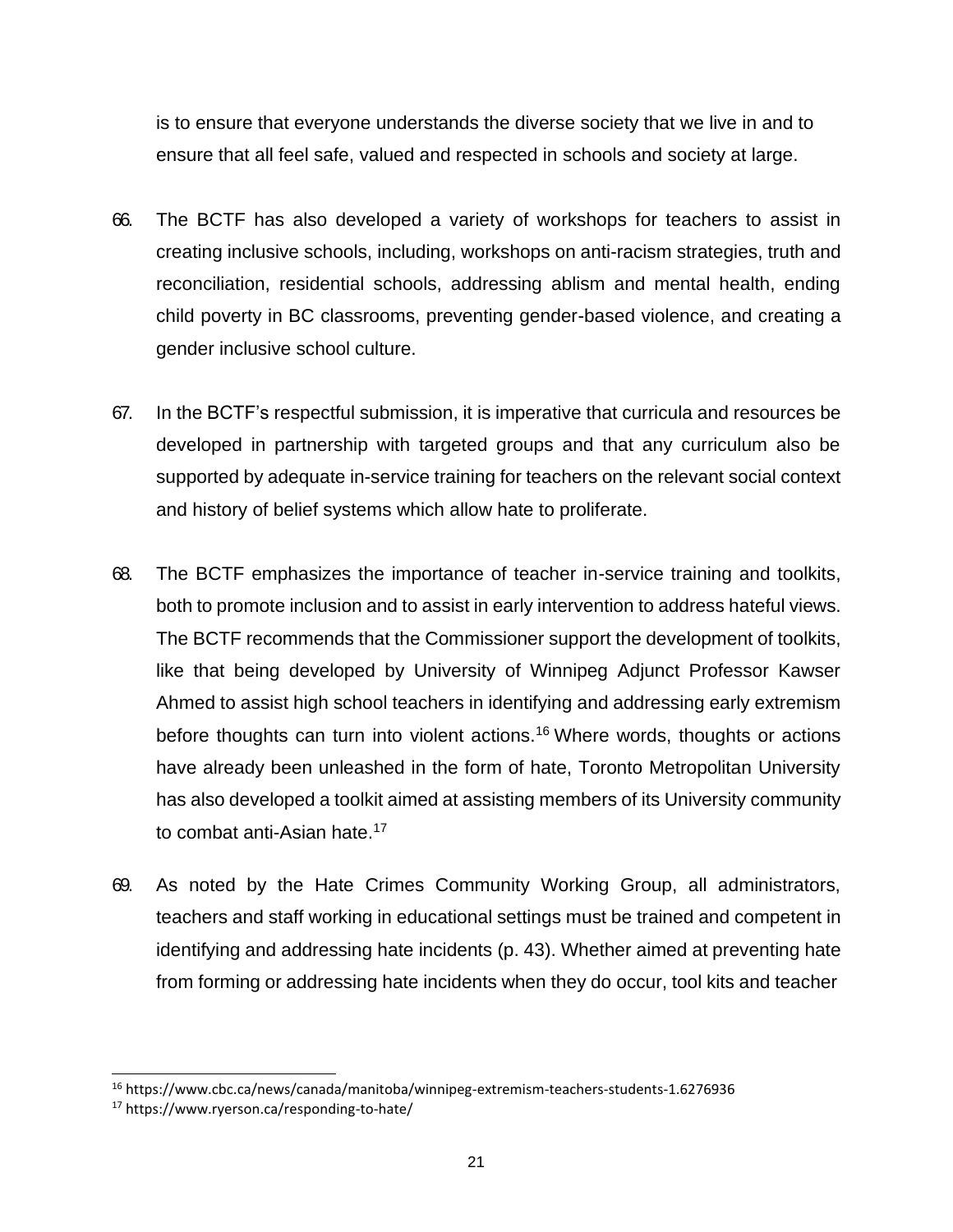is to ensure that everyone understands the diverse society that we live in and to ensure that all feel safe, valued and respected in schools and society at large.

- 66. The BCTF has also developed a variety of workshops for teachers to assist in creating inclusive schools, including, workshops on anti-racism strategies, truth and reconciliation, residential schools, addressing ablism and mental health, ending child poverty in BC classrooms, preventing gender-based violence, and creating a gender inclusive school culture.
- 67. In the BCTF's respectful submission, it is imperative that curricula and resources be developed in partnership with targeted groups and that any curriculum also be supported by adequate in-service training for teachers on the relevant social context and history of belief systems which allow hate to proliferate.
- 68. The BCTF emphasizes the importance of teacher in-service training and toolkits, both to promote inclusion and to assist in early intervention to address hateful views. The BCTF recommends that the Commissioner support the development of toolkits, like that being developed by University of Winnipeg Adjunct Professor Kawser Ahmed to assist high school teachers in identifying and addressing early extremism before thoughts can turn into violent actions.<sup>16</sup> Where words, thoughts or actions have already been unleashed in the form of hate, Toronto Metropolitan University has also developed a toolkit aimed at assisting members of its University community to combat anti-Asian hate.<sup>17</sup>
- 69. As noted by the Hate Crimes Community Working Group, all administrators, teachers and staff working in educational settings must be trained and competent in identifying and addressing hate incidents (p. 43). Whether aimed at preventing hate from forming or addressing hate incidents when they do occur, tool kits and teacher

<sup>16</sup> https://www.cbc.ca/news/canada/manitoba/winnipeg-extremism-teachers-students-1.6276936

<sup>17</sup> https://www.ryerson.ca/responding-to-hate/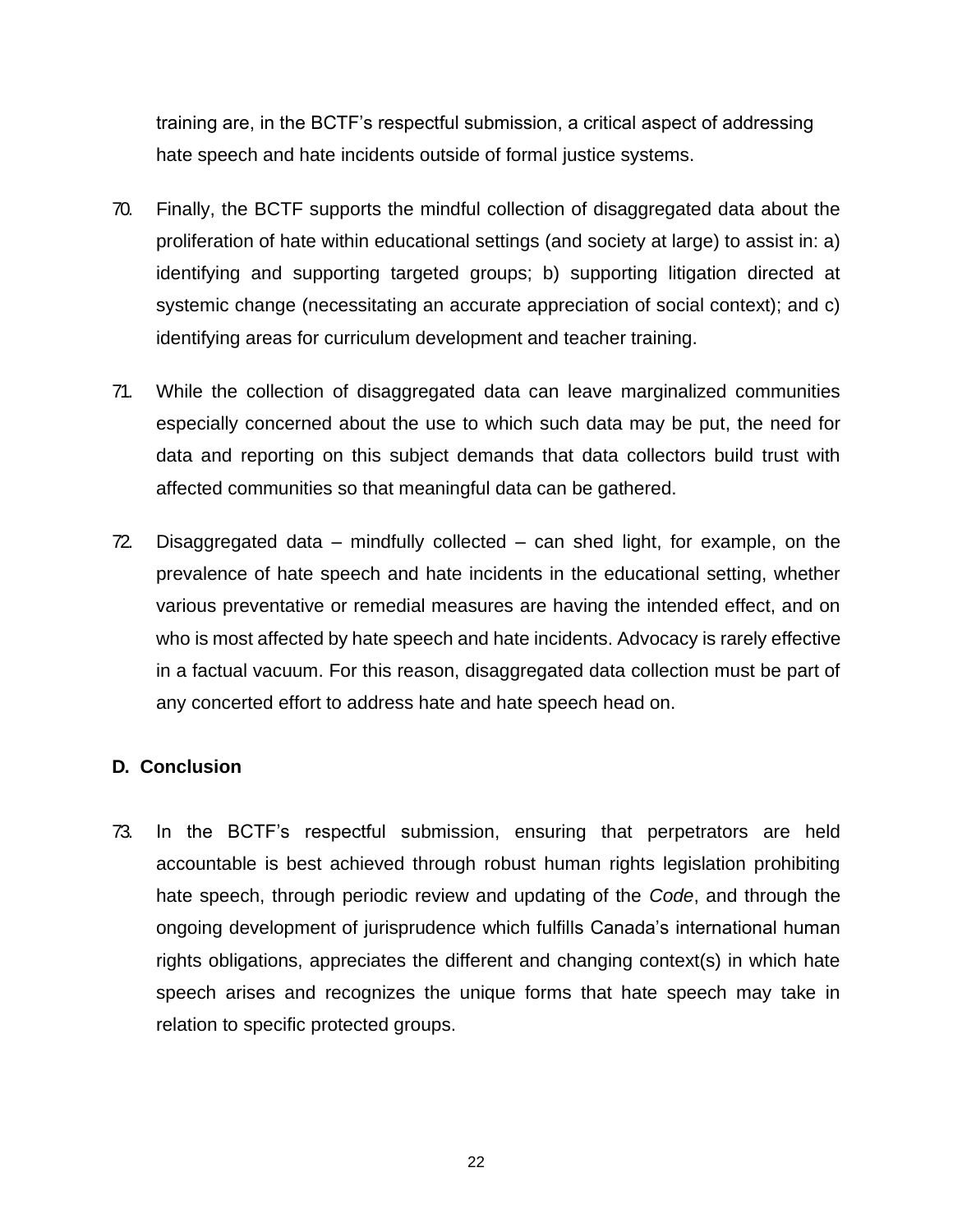training are, in the BCTF's respectful submission, a critical aspect of addressing hate speech and hate incidents outside of formal justice systems.

- 70. Finally, the BCTF supports the mindful collection of disaggregated data about the proliferation of hate within educational settings (and society at large) to assist in: a) identifying and supporting targeted groups; b) supporting litigation directed at systemic change (necessitating an accurate appreciation of social context); and c) identifying areas for curriculum development and teacher training.
- 71. While the collection of disaggregated data can leave marginalized communities especially concerned about the use to which such data may be put, the need for data and reporting on this subject demands that data collectors build trust with affected communities so that meaningful data can be gathered.
- 72. Disaggregated data mindfully collected can shed light, for example, on the prevalence of hate speech and hate incidents in the educational setting, whether various preventative or remedial measures are having the intended effect, and on who is most affected by hate speech and hate incidents. Advocacy is rarely effective in a factual vacuum. For this reason, disaggregated data collection must be part of any concerted effort to address hate and hate speech head on.

#### **D. Conclusion**

73. In the BCTF's respectful submission, ensuring that perpetrators are held accountable is best achieved through robust human rights legislation prohibiting hate speech, through periodic review and updating of the *Code*, and through the ongoing development of jurisprudence which fulfills Canada's international human rights obligations, appreciates the different and changing context(s) in which hate speech arises and recognizes the unique forms that hate speech may take in relation to specific protected groups.